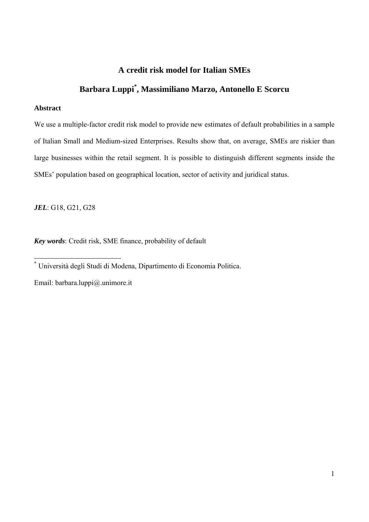#### **A credit risk model for Italian SMEs**

## **Barbara Luppi\* , Massimiliano Marzo, Antonello E Scorcu**

#### **Abstract**

We use a multiple-factor credit risk model to provide new estimates of default probabilities in a sample of Italian Small and Medium-sized Enterprises. Results show that, on average, SMEs are riskier than large businesses within the retail segment. It is possible to distinguish different segments inside the SMEs' population based on geographical location, sector of activity and juridical status.

*JEL*: G18, G21, G28

*Key words*: Credit risk, SME finance, probability of default

Email: barbara.luppi@.unimore.it

 \* Università degli Studi di Modena, Dipartimento di Economia Politica.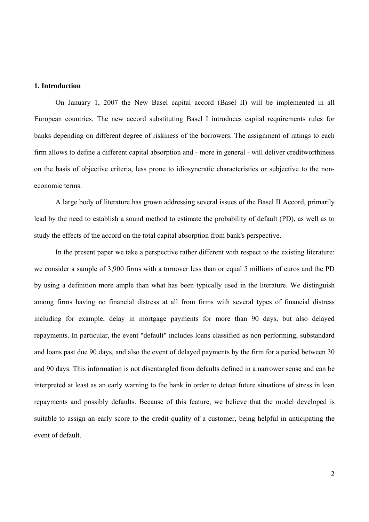#### **1. Introduction**

 On January 1, 2007 the New Basel capital accord (Basel II) will be implemented in all European countries. The new accord substituting Basel I introduces capital requirements rules for banks depending on different degree of riskiness of the borrowers. The assignment of ratings to each firm allows to define a different capital absorption and - more in general - will deliver creditworthiness on the basis of objective criteria, less prone to idiosyncratic characteristics or subjective to the noneconomic terms.

 A large body of literature has grown addressing several issues of the Basel II Accord, primarily lead by the need to establish a sound method to estimate the probability of default (PD), as well as to study the effects of the accord on the total capital absorption from bank's perspective.

 In the present paper we take a perspective rather different with respect to the existing literature: we consider a sample of 3,900 firms with a turnover less than or equal 5 millions of euros and the PD by using a definition more ample than what has been typically used in the literature. We distinguish among firms having no financial distress at all from firms with several types of financial distress including for example, delay in mortgage payments for more than 90 days, but also delayed repayments. In particular, the event "default" includes loans classified as non performing, substandard and loans past due 90 days, and also the event of delayed payments by the firm for a period between 30 and 90 days. This information is not disentangled from defaults defined in a narrower sense and can be interpreted at least as an early warning to the bank in order to detect future situations of stress in loan repayments and possibly defaults. Because of this feature, we believe that the model developed is suitable to assign an early score to the credit quality of a customer, being helpful in anticipating the event of default.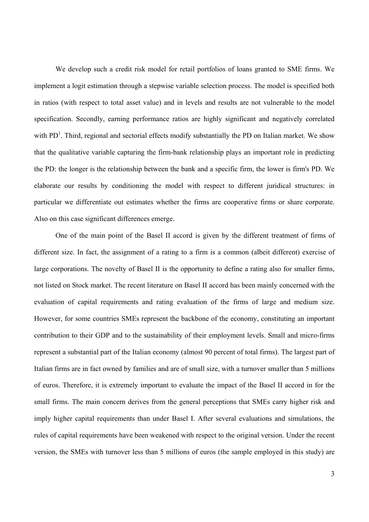We develop such a credit risk model for retail portfolios of loans granted to SME firms. We implement a logit estimation through a stepwise variable selection process. The model is specified both in ratios (with respect to total asset value) and in levels and results are not vulnerable to the model specification. Secondly, earning performance ratios are highly significant and negatively correlated with  $PD<sup>1</sup>$ . Third, regional and sectorial effects modify substantially the PD on Italian market. We show that the qualitative variable capturing the firm-bank relationship plays an important role in predicting the PD: the longer is the relationship between the bank and a specific firm, the lower is firm's PD. We elaborate our results by conditioning the model with respect to different juridical structures: in particular we differentiate out estimates whether the firms are cooperative firms or share corporate. Also on this case significant differences emerge.

 One of the main point of the Basel II accord is given by the different treatment of firms of different size. In fact, the assignment of a rating to a firm is a common (albeit different) exercise of large corporations. The novelty of Basel II is the opportunity to define a rating also for smaller firms, not listed on Stock market. The recent literature on Basel II accord has been mainly concerned with the evaluation of capital requirements and rating evaluation of the firms of large and medium size. However, for some countries SMEs represent the backbone of the economy, constituting an important contribution to their GDP and to the sustainability of their employment levels. Small and micro-firms represent a substantial part of the Italian economy (almost 90 percent of total firms). The largest part of Italian firms are in fact owned by families and are of small size, with a turnover smaller than 5 millions of euros. Therefore, it is extremely important to evaluate the impact of the Basel II accord in for the small firms. The main concern derives from the general perceptions that SMEs carry higher risk and imply higher capital requirements than under Basel I. After several evaluations and simulations, the rules of capital requirements have been weakened with respect to the original version. Under the recent version, the SMEs with turnover less than 5 millions of euros (the sample employed in this study) are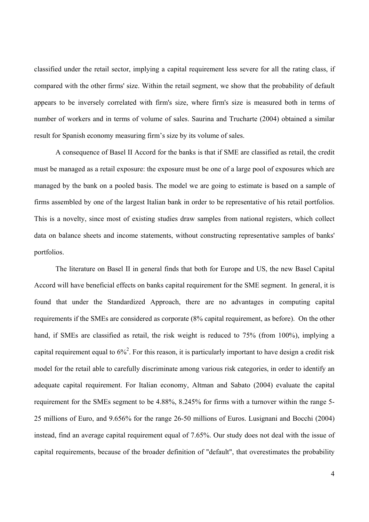classified under the retail sector, implying a capital requirement less severe for all the rating class, if compared with the other firms' size. Within the retail segment, we show that the probability of default appears to be inversely correlated with firm's size, where firm's size is measured both in terms of number of workers and in terms of volume of sales. Saurina and Trucharte (2004) obtained a similar result for Spanish economy measuring firm's size by its volume of sales.

 A consequence of Basel II Accord for the banks is that if SME are classified as retail, the credit must be managed as a retail exposure: the exposure must be one of a large pool of exposures which are managed by the bank on a pooled basis. The model we are going to estimate is based on a sample of firms assembled by one of the largest Italian bank in order to be representative of his retail portfolios. This is a novelty, since most of existing studies draw samples from national registers, which collect data on balance sheets and income statements, without constructing representative samples of banks' portfolios.

 The literature on Basel II in general finds that both for Europe and US, the new Basel Capital Accord will have beneficial effects on banks capital requirement for the SME segment. In general, it is found that under the Standardized Approach, there are no advantages in computing capital requirements if the SMEs are considered as corporate (8% capital requirement, as before). On the other hand, if SMEs are classified as retail, the risk weight is reduced to 75% (from 100%), implying a capital requirement equal to  $6\frac{3}{2}$ . For this reason, it is particularly important to have design a credit risk model for the retail able to carefully discriminate among various risk categories, in order to identify an adequate capital requirement. For Italian economy, Altman and Sabato (2004) evaluate the capital requirement for the SMEs segment to be 4.88%, 8.245% for firms with a turnover within the range 5- 25 millions of Euro, and 9.656% for the range 26-50 millions of Euros. Lusignani and Bocchi (2004) instead, find an average capital requirement equal of 7.65%. Our study does not deal with the issue of capital requirements, because of the broader definition of "default", that overestimates the probability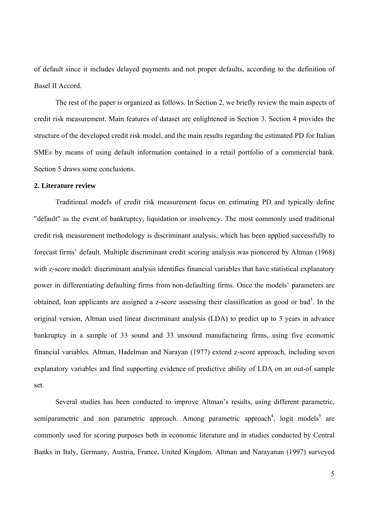of default since it includes delayed payments and not proper defaults, according to the definition of Basel II Accord.

 The rest of the paper is organized as follows. In Section 2, we briefly review the main aspects of credit risk measurement. Main features of dataset are enlightened in Section 3. Section 4 provides the structure of the developed credit risk model, and the main results regarding the estimated PD for Italian SMEs by means of using default information contained in a retail portfolio of a commercial bank. Section 5 draws some conclusions.

#### **2. Literature review**

 Traditional models of credit risk measurement focus on estimating PD and typically define "default" as the event of bankruptcy, liquidation or insolvency. The most commonly used traditional credit risk measurement methodology is discriminant analysis, which has been applied successfully to forecast firms' default. Multiple discriminant credit scoring analysis was pioneered by Altman (1968) with z-score model: discriminant analysis identifies financial variables that have statistical explanatory power in differentiating defaulting firms from non-defaulting firms. Once the models' parameters are obtained, loan applicants are assigned a z-score assessing their classification as good or bad<sup>3</sup>. In the original version, Altman used linear discriminant analysis (LDA) to predict up to 3 years in advance bankruptcy in a sample of 33 sound and 33 unsound manufacturing firms, using five economic financial variables. Altman, Hadelman and Narayan (1977) extend z-score approach, including seven explanatory variables and find supporting evidence of predictive ability of LDA on an out-of sample set.

 Several studies has been conducted to improve Altman's results, using different parametric, semiparametric and non parametric approach. Among parametric approach<sup>4</sup>, logit models<sup>5</sup> are commonly used for scoring purposes both in economic literature and in studies conducted by Central Banks in Italy, Germany, Austria, France, United Kingdom. Altman and Narayanan (1997) surveyed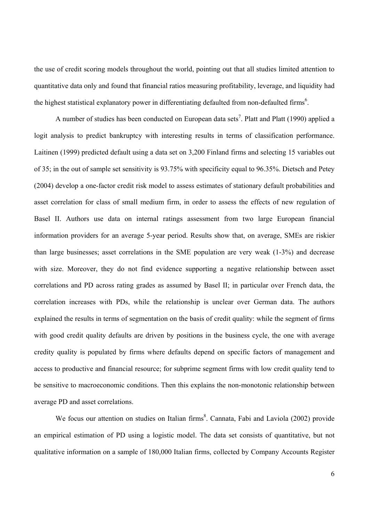the use of credit scoring models throughout the world, pointing out that all studies limited attention to quantitative data only and found that financial ratios measuring profitability, leverage, and liquidity had the highest statistical explanatory power in differentiating defaulted from non-defaulted firms<sup>6</sup>.

A number of studies has been conducted on European data sets<sup>7</sup>. Platt and Platt (1990) applied a logit analysis to predict bankruptcy with interesting results in terms of classification performance. Laitinen (1999) predicted default using a data set on 3,200 Finland firms and selecting 15 variables out of 35; in the out of sample set sensitivity is 93.75% with specificity equal to 96.35%. Dietsch and Petey (2004) develop a one-factor credit risk model to assess estimates of stationary default probabilities and asset correlation for class of small medium firm, in order to assess the effects of new regulation of Basel II. Authors use data on internal ratings assessment from two large European financial information providers for an average 5-year period. Results show that, on average, SMEs are riskier than large businesses; asset correlations in the SME population are very weak (1-3%) and decrease with size. Moreover, they do not find evidence supporting a negative relationship between asset correlations and PD across rating grades as assumed by Basel II; in particular over French data, the correlation increases with PDs, while the relationship is unclear over German data. The authors explained the results in terms of segmentation on the basis of credit quality: while the segment of firms with good credit quality defaults are driven by positions in the business cycle, the one with average credity quality is populated by firms where defaults depend on specific factors of management and access to productive and financial resource; for subprime segment firms with low credit quality tend to be sensitive to macroeconomic conditions. Then this explains the non-monotonic relationship between average PD and asset correlations.

We focus our attention on studies on Italian firms<sup>8</sup>. Cannata, Fabi and Laviola (2002) provide an empirical estimation of PD using a logistic model. The data set consists of quantitative, but not qualitative information on a sample of 180,000 Italian firms, collected by Company Accounts Register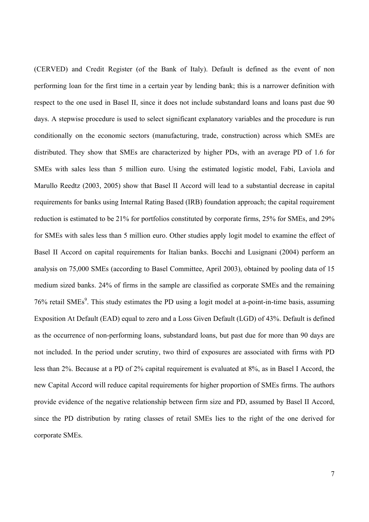(CERVED) and Credit Register (of the Bank of Italy). Default is defined as the event of non performing loan for the first time in a certain year by lending bank; this is a narrower definition with respect to the one used in Basel II, since it does not include substandard loans and loans past due 90 days. A stepwise procedure is used to select significant explanatory variables and the procedure is run conditionally on the economic sectors (manufacturing, trade, construction) across which SMEs are distributed. They show that SMEs are characterized by higher PDs, with an average PD of 1.6 for SMEs with sales less than 5 million euro. Using the estimated logistic model, Fabi, Laviola and Marullo Reedtz (2003, 2005) show that Basel II Accord will lead to a substantial decrease in capital requirements for banks using Internal Rating Based (IRB) foundation approach; the capital requirement reduction is estimated to be 21% for portfolios constituted by corporate firms, 25% for SMEs, and 29% for SMEs with sales less than 5 million euro. Other studies apply logit model to examine the effect of Basel II Accord on capital requirements for Italian banks. Bocchi and Lusignani (2004) perform an analysis on 75,000 SMEs (according to Basel Committee, April 2003), obtained by pooling data of 15 medium sized banks. 24% of firms in the sample are classified as corporate SMEs and the remaining 76% retail SMEs<sup>9</sup>. This study estimates the PD using a logit model at a-point-in-time basis, assuming Exposition At Default (EAD) equal to zero and a Loss Given Default (LGD) of 43%. Default is defined as the occurrence of non-performing loans, substandard loans, but past due for more than 90 days are not included. In the period under scrutiny, two third of exposures are associated with firms with PD less than 2%. Because at a PD of 2% capital requirement is evaluated at 8%, as in Basel I Accord, the new Capital Accord will reduce capital requirements for higher proportion of SMEs firms. The authors provide evidence of the negative relationship between firm size and PD, assumed by Basel II Accord, since the PD distribution by rating classes of retail SMEs lies to the right of the one derived for corporate SMEs.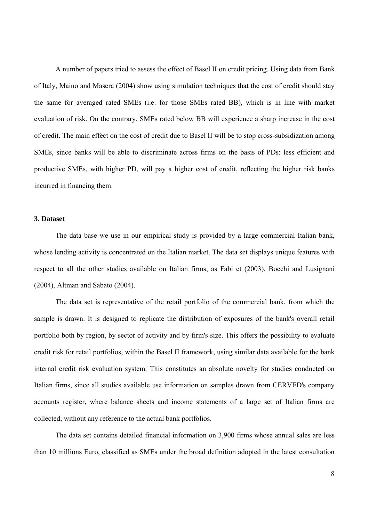A number of papers tried to assess the effect of Basel II on credit pricing. Using data from Bank of Italy, Maino and Masera (2004) show using simulation techniques that the cost of credit should stay the same for averaged rated SMEs (i.e. for those SMEs rated BB), which is in line with market evaluation of risk. On the contrary, SMEs rated below BB will experience a sharp increase in the cost of credit. The main effect on the cost of credit due to Basel II will be to stop cross-subsidization among SMEs, since banks will be able to discriminate across firms on the basis of PDs: less efficient and productive SMEs, with higher PD, will pay a higher cost of credit, reflecting the higher risk banks incurred in financing them.

#### **3. Dataset**

 The data base we use in our empirical study is provided by a large commercial Italian bank, whose lending activity is concentrated on the Italian market. The data set displays unique features with respect to all the other studies available on Italian firms, as Fabi et (2003), Bocchi and Lusignani (2004), Altman and Sabato (2004).

 The data set is representative of the retail portfolio of the commercial bank, from which the sample is drawn. It is designed to replicate the distribution of exposures of the bank's overall retail portfolio both by region, by sector of activity and by firm's size. This offers the possibility to evaluate credit risk for retail portfolios, within the Basel II framework, using similar data available for the bank internal credit risk evaluation system. This constitutes an absolute novelty for studies conducted on Italian firms, since all studies available use information on samples drawn from CERVED's company accounts register, where balance sheets and income statements of a large set of Italian firms are collected, without any reference to the actual bank portfolios.

 The data set contains detailed financial information on 3,900 firms whose annual sales are less than 10 millions Euro, classified as SMEs under the broad definition adopted in the latest consultation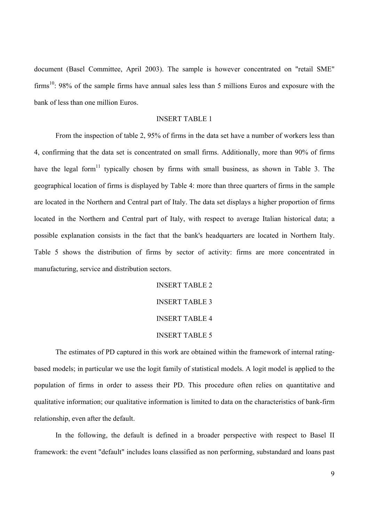document (Basel Committee, April 2003). The sample is however concentrated on "retail SME" firms<sup>10</sup>: 98% of the sample firms have annual sales less than 5 millions Euros and exposure with the bank of less than one million Euros.

#### INSERT TABLE 1

 From the inspection of table 2, 95% of firms in the data set have a number of workers less than 4, confirming that the data set is concentrated on small firms. Additionally, more than 90% of firms have the legal form<sup>11</sup> typically chosen by firms with small business, as shown in Table 3. The geographical location of firms is displayed by Table 4: more than three quarters of firms in the sample are located in the Northern and Central part of Italy. The data set displays a higher proportion of firms located in the Northern and Central part of Italy, with respect to average Italian historical data; a possible explanation consists in the fact that the bank's headquarters are located in Northern Italy. Table 5 shows the distribution of firms by sector of activity: firms are more concentrated in manufacturing, service and distribution sectors.

> INSERT TABLE 2 INSERT TABLE 3 INSERT TABLE 4 INSERT TABLE 5

 The estimates of PD captured in this work are obtained within the framework of internal ratingbased models; in particular we use the logit family of statistical models. A logit model is applied to the population of firms in order to assess their PD. This procedure often relies on quantitative and qualitative information; our qualitative information is limited to data on the characteristics of bank-firm relationship, even after the default.

 In the following, the default is defined in a broader perspective with respect to Basel II framework: the event "default" includes loans classified as non performing, substandard and loans past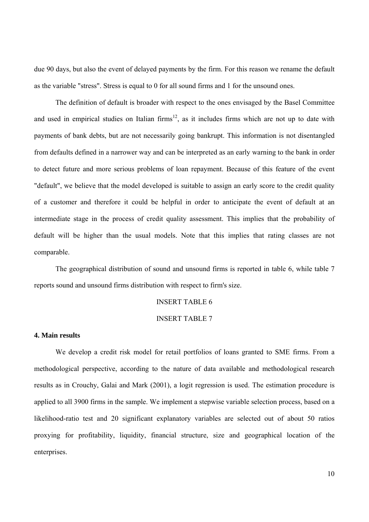due 90 days, but also the event of delayed payments by the firm. For this reason we rename the default as the variable "stress". Stress is equal to 0 for all sound firms and 1 for the unsound ones.

 The definition of default is broader with respect to the ones envisaged by the Basel Committee and used in empirical studies on Italian firms<sup>12</sup>, as it includes firms which are not up to date with payments of bank debts, but are not necessarily going bankrupt. This information is not disentangled from defaults defined in a narrower way and can be interpreted as an early warning to the bank in order to detect future and more serious problems of loan repayment. Because of this feature of the event "default", we believe that the model developed is suitable to assign an early score to the credit quality of a customer and therefore it could be helpful in order to anticipate the event of default at an intermediate stage in the process of credit quality assessment. This implies that the probability of default will be higher than the usual models. Note that this implies that rating classes are not comparable.

 The geographical distribution of sound and unsound firms is reported in table 6, while table 7 reports sound and unsound firms distribution with respect to firm's size.

#### INSERT TABLE 6

#### INSERT TABLE 7

#### **4. Main results**

 We develop a credit risk model for retail portfolios of loans granted to SME firms. From a methodological perspective, according to the nature of data available and methodological research results as in Crouchy, Galai and Mark (2001), a logit regression is used. The estimation procedure is applied to all 3900 firms in the sample. We implement a stepwise variable selection process, based on a likelihood-ratio test and 20 significant explanatory variables are selected out of about 50 ratios proxying for profitability, liquidity, financial structure, size and geographical location of the enterprises.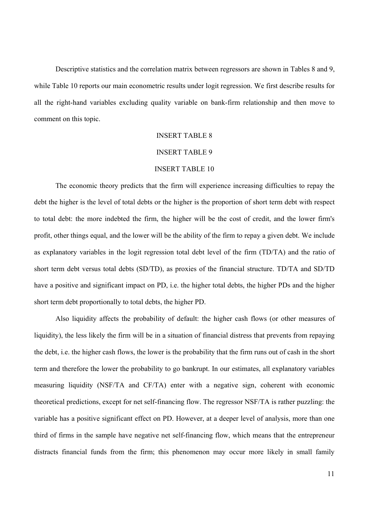Descriptive statistics and the correlation matrix between regressors are shown in Tables 8 and 9, while Table 10 reports our main econometric results under logit regression. We first describe results for all the right-hand variables excluding quality variable on bank-firm relationship and then move to comment on this topic.

#### INSERT TABLE 8

#### INSERT TABLE 9

#### INSERT TABLE 10

The economic theory predicts that the firm will experience increasing difficulties to repay the debt the higher is the level of total debts or the higher is the proportion of short term debt with respect to total debt: the more indebted the firm, the higher will be the cost of credit, and the lower firm's profit, other things equal, and the lower will be the ability of the firm to repay a given debt. We include as explanatory variables in the logit regression total debt level of the firm (TD/TA) and the ratio of short term debt versus total debts (SD/TD), as proxies of the financial structure. TD/TA and SD/TD have a positive and significant impact on PD, i.e. the higher total debts, the higher PDs and the higher short term debt proportionally to total debts, the higher PD.

 Also liquidity affects the probability of default: the higher cash flows (or other measures of liquidity), the less likely the firm will be in a situation of financial distress that prevents from repaying the debt, i.e. the higher cash flows, the lower is the probability that the firm runs out of cash in the short term and therefore the lower the probability to go bankrupt. In our estimates, all explanatory variables measuring liquidity (NSF/TA and CF/TA) enter with a negative sign, coherent with economic theoretical predictions, except for net self-financing flow. The regressor NSF/TA is rather puzzling: the variable has a positive significant effect on PD. However, at a deeper level of analysis, more than one third of firms in the sample have negative net self-financing flow, which means that the entrepreneur distracts financial funds from the firm; this phenomenon may occur more likely in small family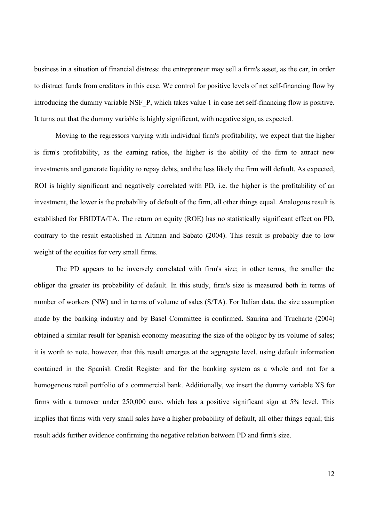business in a situation of financial distress: the entrepreneur may sell a firm's asset, as the car, in order to distract funds from creditors in this case. We control for positive levels of net self-financing flow by introducing the dummy variable NSF\_P, which takes value 1 in case net self-financing flow is positive. It turns out that the dummy variable is highly significant, with negative sign, as expected.

 Moving to the regressors varying with individual firm's profitability, we expect that the higher is firm's profitability, as the earning ratios, the higher is the ability of the firm to attract new investments and generate liquidity to repay debts, and the less likely the firm will default. As expected, ROI is highly significant and negatively correlated with PD, i.e. the higher is the profitability of an investment, the lower is the probability of default of the firm, all other things equal. Analogous result is established for EBIDTA/TA. The return on equity (ROE) has no statistically significant effect on PD, contrary to the result established in Altman and Sabato (2004). This result is probably due to low weight of the equities for very small firms.

 The PD appears to be inversely correlated with firm's size; in other terms, the smaller the obligor the greater its probability of default. In this study, firm's size is measured both in terms of number of workers (NW) and in terms of volume of sales (S/TA). For Italian data, the size assumption made by the banking industry and by Basel Committee is confirmed. Saurina and Trucharte (2004) obtained a similar result for Spanish economy measuring the size of the obligor by its volume of sales; it is worth to note, however, that this result emerges at the aggregate level, using default information contained in the Spanish Credit Register and for the banking system as a whole and not for a homogenous retail portfolio of a commercial bank. Additionally, we insert the dummy variable XS for firms with a turnover under 250,000 euro, which has a positive significant sign at 5% level. This implies that firms with very small sales have a higher probability of default, all other things equal; this result adds further evidence confirming the negative relation between PD and firm's size.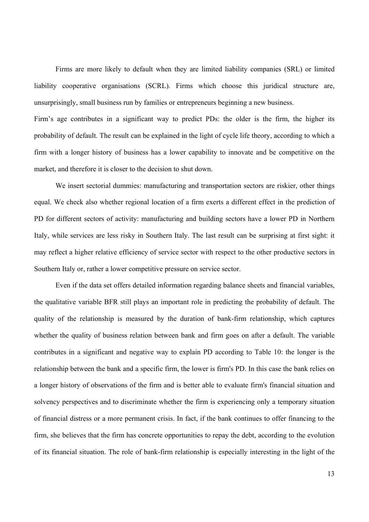Firms are more likely to default when they are limited liability companies (SRL) or limited liability cooperative organisations (SCRL). Firms which choose this juridical structure are, unsurprisingly, small business run by families or entrepreneurs beginning a new business.

Firm's age contributes in a significant way to predict PDs: the older is the firm, the higher its probability of default. The result can be explained in the light of cycle life theory, according to which a firm with a longer history of business has a lower capability to innovate and be competitive on the market, and therefore it is closer to the decision to shut down.

We insert sectorial dummies: manufacturing and transportation sectors are riskier, other things equal. We check also whether regional location of a firm exerts a different effect in the prediction of PD for different sectors of activity: manufacturing and building sectors have a lower PD in Northern Italy, while services are less risky in Southern Italy. The last result can be surprising at first sight: it may reflect a higher relative efficiency of service sector with respect to the other productive sectors in Southern Italy or, rather a lower competitive pressure on service sector.

 Even if the data set offers detailed information regarding balance sheets and financial variables, the qualitative variable BFR still plays an important role in predicting the probability of default. The quality of the relationship is measured by the duration of bank-firm relationship, which captures whether the quality of business relation between bank and firm goes on after a default. The variable contributes in a significant and negative way to explain PD according to Table 10: the longer is the relationship between the bank and a specific firm, the lower is firm's PD. In this case the bank relies on a longer history of observations of the firm and is better able to evaluate firm's financial situation and solvency perspectives and to discriminate whether the firm is experiencing only a temporary situation of financial distress or a more permanent crisis. In fact, if the bank continues to offer financing to the firm, she believes that the firm has concrete opportunities to repay the debt, according to the evolution of its financial situation. The role of bank-firm relationship is especially interesting in the light of the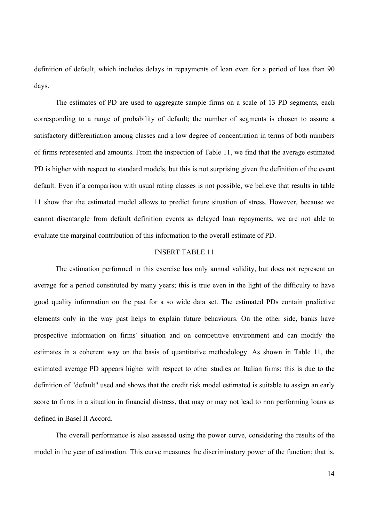definition of default, which includes delays in repayments of loan even for a period of less than 90 days.

The estimates of PD are used to aggregate sample firms on a scale of 13 PD segments, each corresponding to a range of probability of default; the number of segments is chosen to assure a satisfactory differentiation among classes and a low degree of concentration in terms of both numbers of firms represented and amounts. From the inspection of Table 11, we find that the average estimated PD is higher with respect to standard models, but this is not surprising given the definition of the event default. Even if a comparison with usual rating classes is not possible, we believe that results in table 11 show that the estimated model allows to predict future situation of stress. However, because we cannot disentangle from default definition events as delayed loan repayments, we are not able to evaluate the marginal contribution of this information to the overall estimate of PD.

#### INSERT TABLE 11

 The estimation performed in this exercise has only annual validity, but does not represent an average for a period constituted by many years; this is true even in the light of the difficulty to have good quality information on the past for a so wide data set. The estimated PDs contain predictive elements only in the way past helps to explain future behaviours. On the other side, banks have prospective information on firms' situation and on competitive environment and can modify the estimates in a coherent way on the basis of quantitative methodology. As shown in Table 11, the estimated average PD appears higher with respect to other studies on Italian firms; this is due to the definition of "default" used and shows that the credit risk model estimated is suitable to assign an early score to firms in a situation in financial distress, that may or may not lead to non performing loans as defined in Basel II Accord.

 The overall performance is also assessed using the power curve, considering the results of the model in the year of estimation. This curve measures the discriminatory power of the function; that is,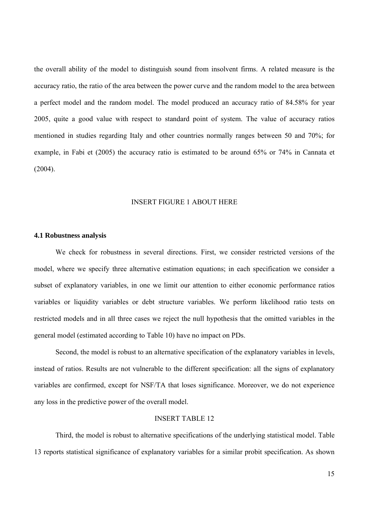the overall ability of the model to distinguish sound from insolvent firms. A related measure is the accuracy ratio, the ratio of the area between the power curve and the random model to the area between a perfect model and the random model. The model produced an accuracy ratio of 84.58% for year 2005, quite a good value with respect to standard point of system. The value of accuracy ratios mentioned in studies regarding Italy and other countries normally ranges between 50 and 70%; for example, in Fabi et (2005) the accuracy ratio is estimated to be around 65% or 74% in Cannata et (2004).

#### INSERT FIGURE 1 ABOUT HERE

#### **4.1 Robustness analysis**

 We check for robustness in several directions. First, we consider restricted versions of the model, where we specify three alternative estimation equations; in each specification we consider a subset of explanatory variables, in one we limit our attention to either economic performance ratios variables or liquidity variables or debt structure variables. We perform likelihood ratio tests on restricted models and in all three cases we reject the null hypothesis that the omitted variables in the general model (estimated according to Table 10) have no impact on PDs.

 Second, the model is robust to an alternative specification of the explanatory variables in levels, instead of ratios. Results are not vulnerable to the different specification: all the signs of explanatory variables are confirmed, except for NSF/TA that loses significance. Moreover, we do not experience any loss in the predictive power of the overall model.

#### INSERT TABLE 12

 Third, the model is robust to alternative specifications of the underlying statistical model. Table 13 reports statistical significance of explanatory variables for a similar probit specification. As shown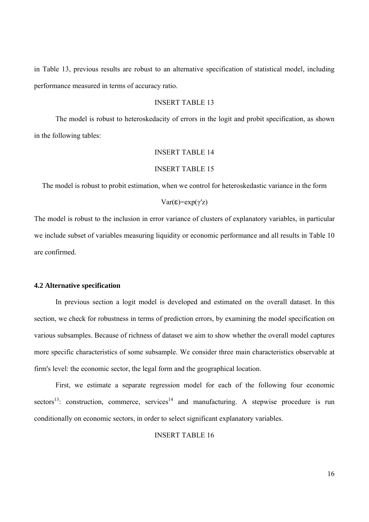in Table 13, previous results are robust to an alternative specification of statistical model, including performance measured in terms of accuracy ratio.

#### INSERT TABLE 13

 The model is robust to heteroskedacity of errors in the logit and probit specification, as shown in the following tables:

#### INSERT TABLE 14

#### INSERT TABLE 15

The model is robust to probit estimation, when we control for heteroskedastic variance in the form

#### Var(ε)=exp(γ'z)

The model is robust to the inclusion in error variance of clusters of explanatory variables, in particular we include subset of variables measuring liquidity or economic performance and all results in Table 10 are confirmed.

#### **4.2 Alternative specification**

 In previous section a logit model is developed and estimated on the overall dataset. In this section, we check for robustness in terms of prediction errors, by examining the model specification on various subsamples. Because of richness of dataset we aim to show whether the overall model captures more specific characteristics of some subsample. We consider three main characteristics observable at firm's level: the economic sector, the legal form and the geographical location.

 First, we estimate a separate regression model for each of the following four economic sectors<sup>13</sup>: construction, commerce, services<sup>14</sup> and manufacturing. A stepwise procedure is run conditionally on economic sectors, in order to select significant explanatory variables.

#### INSERT TABLE 16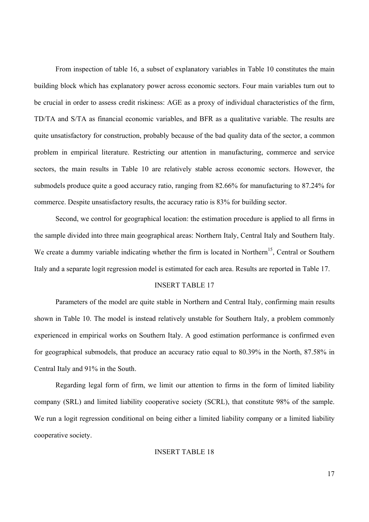From inspection of table 16, a subset of explanatory variables in Table 10 constitutes the main building block which has explanatory power across economic sectors. Four main variables turn out to be crucial in order to assess credit riskiness: AGE as a proxy of individual characteristics of the firm, TD/TA and S/TA as financial economic variables, and BFR as a qualitative variable. The results are quite unsatisfactory for construction, probably because of the bad quality data of the sector, a common problem in empirical literature. Restricting our attention in manufacturing, commerce and service sectors, the main results in Table 10 are relatively stable across economic sectors. However, the submodels produce quite a good accuracy ratio, ranging from 82.66% for manufacturing to 87.24% for commerce. Despite unsatisfactory results, the accuracy ratio is 83% for building sector.

 Second, we control for geographical location: the estimation procedure is applied to all firms in the sample divided into three main geographical areas: Northern Italy, Central Italy and Southern Italy. We create a dummy variable indicating whether the firm is located in Northern<sup>15</sup>, Central or Southern Italy and a separate logit regression model is estimated for each area. Results are reported in Table 17.

#### INSERT TABLE 17

 Parameters of the model are quite stable in Northern and Central Italy, confirming main results shown in Table 10. The model is instead relatively unstable for Southern Italy, a problem commonly experienced in empirical works on Southern Italy. A good estimation performance is confirmed even for geographical submodels, that produce an accuracy ratio equal to 80.39% in the North, 87.58% in Central Italy and 91% in the South.

 Regarding legal form of firm, we limit our attention to firms in the form of limited liability company (SRL) and limited liability cooperative society (SCRL), that constitute 98% of the sample. We run a logit regression conditional on being either a limited liability company or a limited liability cooperative society.

#### INSERT TABLE 18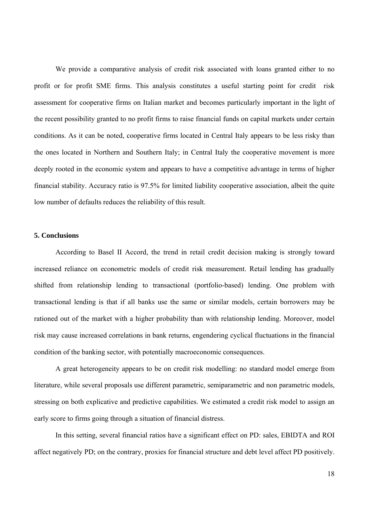We provide a comparative analysis of credit risk associated with loans granted either to no profit or for profit SME firms. This analysis constitutes a useful starting point for credit risk assessment for cooperative firms on Italian market and becomes particularly important in the light of the recent possibility granted to no profit firms to raise financial funds on capital markets under certain conditions. As it can be noted, cooperative firms located in Central Italy appears to be less risky than the ones located in Northern and Southern Italy; in Central Italy the cooperative movement is more deeply rooted in the economic system and appears to have a competitive advantage in terms of higher financial stability. Accuracy ratio is 97.5% for limited liability cooperative association, albeit the quite low number of defaults reduces the reliability of this result.

#### **5. Conclusions**

 According to Basel II Accord, the trend in retail credit decision making is strongly toward increased reliance on econometric models of credit risk measurement. Retail lending has gradually shifted from relationship lending to transactional (portfolio-based) lending. One problem with transactional lending is that if all banks use the same or similar models, certain borrowers may be rationed out of the market with a higher probability than with relationship lending. Moreover, model risk may cause increased correlations in bank returns, engendering cyclical fluctuations in the financial condition of the banking sector, with potentially macroeconomic consequences.

 A great heterogeneity appears to be on credit risk modelling: no standard model emerge from literature, while several proposals use different parametric, semiparametric and non parametric models, stressing on both explicative and predictive capabilities. We estimated a credit risk model to assign an early score to firms going through a situation of financial distress.

 In this setting, several financial ratios have a significant effect on PD: sales, EBIDTA and ROI affect negatively PD; on the contrary, proxies for financial structure and debt level affect PD positively.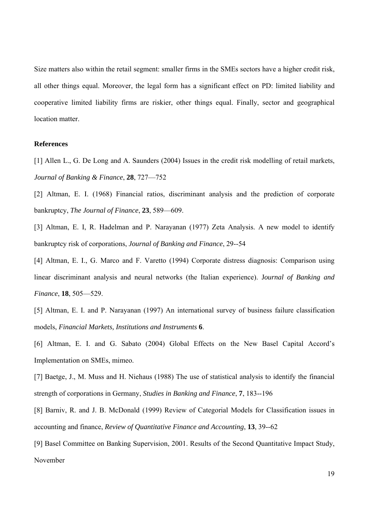Size matters also within the retail segment: smaller firms in the SMEs sectors have a higher credit risk, all other things equal. Moreover, the legal form has a significant effect on PD: limited liability and cooperative limited liability firms are riskier, other things equal. Finally, sector and geographical location matter.

#### **References**

[1] Allen L., G. De Long and A. Saunders (2004) Issues in the credit risk modelling of retail markets, *Journal of Banking & Finance*, **28**, 727—752

[2] Altman, E. I. (1968) Financial ratios, discriminant analysis and the prediction of corporate bankruptcy, *The Journal of Finance*, **23**, 589—609.

[3] Altman, E. I, R. Hadelman and P. Narayanan (1977) Zeta Analysis. A new model to identify bankruptcy risk of corporations, *Journal of Banking and Finance*, 29--54

[4] Altman, E. I., G. Marco and F. Varetto (1994) Corporate distress diagnosis: Comparison using linear discriminant analysis and neural networks (the Italian experience). J*ournal of Banking and Finance*, **18**, 505—529.

[5] Altman, E. I. and P. Narayanan (1997) An international survey of business failure classification models, *Financial Markets, Institutions and Instruments* **6**.

[6] Altman, E. I. and G. Sabato (2004) Global Effects on the New Basel Capital Accord's Implementation on SMEs, mimeo.

[7] Baetge, J., M. Muss and H. Niehaus (1988) The use of statistical analysis to identify the financial strength of corporations in Germany, *Studies in Banking and Finance*, **7**, 183--196

[8] Barniv, R. and J. B. McDonald (1999) Review of Categorial Models for Classification issues in accounting and finance, *Review of Quantitative Finance and Accounting*, **13**, 39--62

[9] Basel Committee on Banking Supervision, 2001. Results of the Second Quantitative Impact Study, November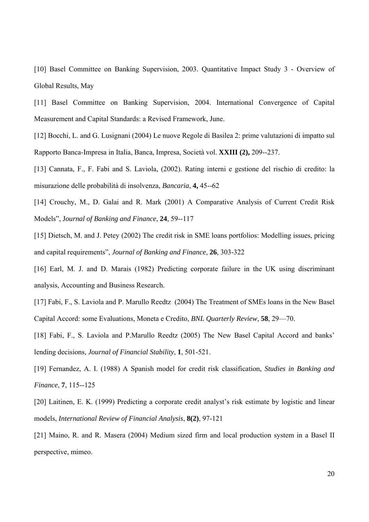[10] Basel Committee on Banking Supervision, 2003. Quantitative Impact Study 3 - Overview of Global Results, May

[11] Basel Committee on Banking Supervision, 2004. International Convergence of Capital Measurement and Capital Standards: a Revised Framework, June.

[12] Bocchi, L. and G. Lusignani (2004) Le nuove Regole di Basilea 2: prime valutazioni di impatto sul Rapporto Banca-Impresa in Italia, Banca, Impresa, Società vol. **XXIII (2),** 209--237.

[13] Cannata, F., F. Fabi and S. Laviola, (2002). Rating interni e gestione del rischio di credito: la misurazione delle probabilità di insolvenza, *Bancaria*, **4,** 45--62

[14] Crouchy, M., D. Galai and R. Mark (2001) A Comparative Analysis of Current Credit Risk Models", J*ournal of Banking and Finance*, **24**, 59--117

[15] Dietsch, M. and J. Petey (2002) The credit risk in SME loans portfolios: Modelling issues, pricing and capital requirements", *Journal of Banking and Finance*, **26**, 303-322

[16] Earl, M. J. and D. Marais (1982) Predicting corporate failure in the UK using discriminant analysis, Accounting and Business Research.

[17] Fabi, F., S. Laviola and P. Marullo Reedtz (2004) The Treatment of SMEs loans in the New Basel Capital Accord: some Evaluations, Moneta e Credito, *BNL Quarterly Review*, **58**, 29—70.

[18] Fabi, F., S. Laviola and P.Marullo Reedtz (2005) The New Basel Capital Accord and banks' lending decisions, *Journal of Financial Stability*, **1**, 501-521.

[19] Fernandez, A. I. (1988) A Spanish model for credit risk classification, *Studies in Banking and Finance*, **7**, 115--125

[20] Laitinen, E. K. (1999) Predicting a corporate credit analyst's risk estimate by logistic and linear models, *International Review of Financial Analysis*, **8(2)**, 97-121

[21] Maino, R. and R. Masera (2004) Medium sized firm and local production system in a Basel II perspective, mimeo.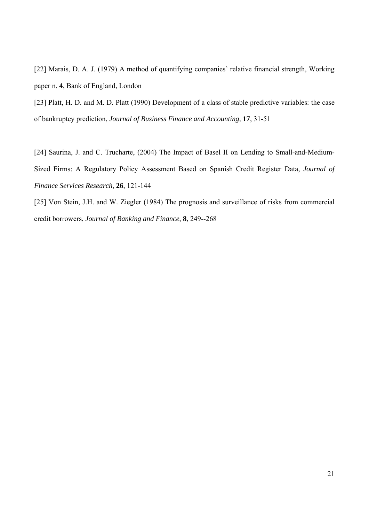[22] Marais, D. A. J. (1979) A method of quantifying companies' relative financial strength, Working paper n. **4**, Bank of England, London

[23] Platt, H. D. and M. D. Platt (1990) Development of a class of stable predictive variables: the case of bankruptcy prediction, *Journal of Business Finance and Accounting,* **17**, 31-51

[24] Saurina, J. and C. Trucharte, (2004) The Impact of Basel II on Lending to Small-and-Medium-Sized Firms: A Regulatory Policy Assessment Based on Spanish Credit Register Data, *Journal of Finance Services Research*, **26**, 121-144

[25] Von Stein, J.H. and W. Ziegler (1984) The prognosis and surveillance of risks from commercial credit borrowers, *Journal of Banking and Finance*, **8**, 249--268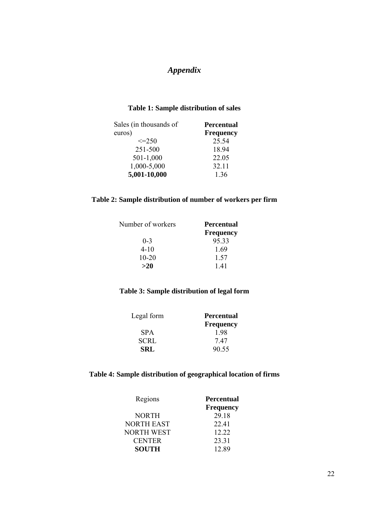# *Appendix*

### **Table 1: Sample distribution of sales**

| Sales (in thousands of | <b>Percentual</b> |
|------------------------|-------------------|
| euros)                 | <b>Frequency</b>  |
| $\leq$ = 2.50          | 25.54             |
| 251-500                | 18.94             |
| 501-1,000              | 22.05             |
| 1,000-5,000            | 32.11             |
| 5,001-10,000           | 1.36              |

#### **Table 2: Sample distribution of number of workers per firm**

| Number of workers | <b>Percentual</b> |
|-------------------|-------------------|
|                   | <b>Frequency</b>  |
| $0 - 3$           | 95.33             |
| $4 - 10$          | 1.69              |
| $10 - 20$         | 1.57              |
| >20               | 141               |

### **Table 3: Sample distribution of legal form**

| Legal form  | <b>Percentual</b> |  |
|-------------|-------------------|--|
|             | <b>Frequency</b>  |  |
| <b>SPA</b>  | 198               |  |
| <b>SCRL</b> | 747               |  |
| <b>SRL</b>  | 90.55             |  |

### **Table 4: Sample distribution of geographical location of firms**

| Regions           | <b>Percentual</b> |
|-------------------|-------------------|
|                   | <b>Frequency</b>  |
| <b>NORTH</b>      | 29.18             |
| <b>NORTH EAST</b> | 22.41             |
| NORTH WEST        | 12.22             |
| <b>CENTER</b>     | 23.31             |
| <b>SOUTH</b>      | 12.89             |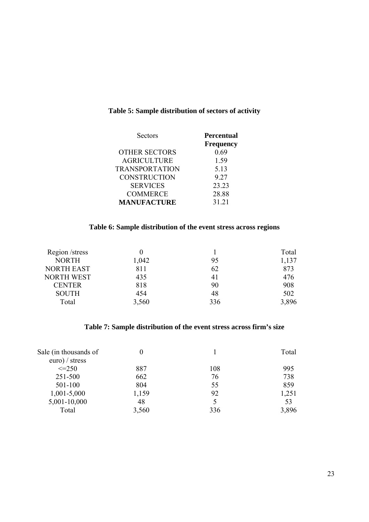### **Table 5: Sample distribution of sectors of activity**

| <b>Sectors</b>        | <b>Percentual</b><br><b>Frequency</b> |
|-----------------------|---------------------------------------|
| <b>OTHER SECTORS</b>  | 0.69                                  |
| <b>AGRICULTURE</b>    | 1.59                                  |
| <b>TRANSPORTATION</b> | 5.13                                  |
| <b>CONSTRUCTION</b>   | 9.27                                  |
| <b>SERVICES</b>       | 23.23                                 |
| <b>COMMERCE</b>       | 28.88                                 |
| <b>MANUFACTURE</b>    | 31.21                                 |

#### **Table 6: Sample distribution of the event stress across regions**

| Region /stress    |       |     | Total |
|-------------------|-------|-----|-------|
| <b>NORTH</b>      | 1,042 | 95  | 1,137 |
| <b>NORTH EAST</b> | 811   | 62  | 873   |
| <b>NORTH WEST</b> | 435   | 41  | 476   |
| <b>CENTER</b>     | 818   | 90  | 908   |
| <b>SOUTH</b>      | 454   | 48  | 502   |
| Total             | 3,560 | 336 | 3,896 |

### **Table 7: Sample distribution of the event stress across firm's size**

| Sale (in thousands of | 0     |     | Total |
|-----------------------|-------|-----|-------|
| $euro$ / stress       |       |     |       |
| $\leq$ -250           | 887   | 108 | 995   |
| 251-500               | 662   | 76  | 738   |
| 501-100               | 804   | 55  | 859   |
| $1,001 - 5,000$       | 1,159 | 92  | 1,251 |
| 5,001-10,000          | 48    |     | 53    |
| Total                 | 3,560 | 336 | 3,896 |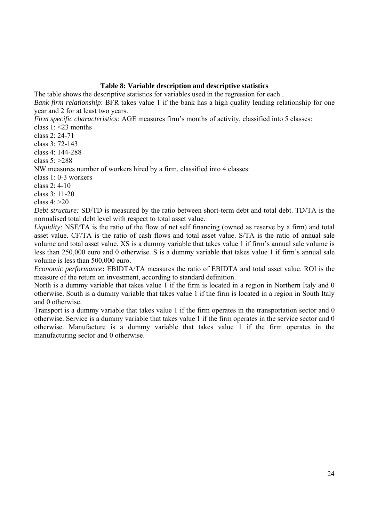#### **Table 8: Variable description and descriptive statistics**

The table shows the descriptive statistics for variables used in the regression for each . *Bank-firm relationship*: BFR takes value 1 if the bank has a high quality lending relationship for one year and 2 for at least two years.

*Firm specific characteristics:* AGE measures firm's months of activity, classified into 5 classes:

class  $1 \leq 23$  months

class 2: 24-71

class 3: 72-143

class 4: 144-288

class 5: >288

NW measures number of workers hired by a firm, classified into 4 classes:

class 1: 0-3 workers

class 2: 4-10

class 3: 11-20

class 4: >20

*Debt structure:* SD/TD is measured by the ratio between short-term debt and total debt. TD/TA is the normalised total debt level with respect to total asset value.

*Liquidity:* NSF/TA is the ratio of the flow of net self financing (owned as reserve by a firm) and total asset value. CF/TA is the ratio of cash flows and total asset value. S/TA is the ratio of annual sale volume and total asset value. XS is a dummy variable that takes value 1 if firm's annual sale volume is less than 250,000 euro and 0 otherwise. S is a dummy variable that takes value 1 if firm's annual sale volume is less than 500,000 euro.

*Economic performance***:** EBIDTA/TA measures the ratio of EBIDTA and total asset value. ROI is the measure of the return on investment, according to standard definition.

North is a dummy variable that takes value 1 if the firm is located in a region in Northern Italy and 0 otherwise. South is a dummy variable that takes value 1 if the firm is located in a region in South Italy and 0 otherwise.

Transport is a dummy variable that takes value 1 if the firm operates in the transportation sector and 0 otherwise. Service is a dummy variable that takes value 1 if the firm operates in the service sector and 0 otherwise. Manufacture is a dummy variable that takes value 1 if the firm operates in the manufacturing sector and 0 otherwise.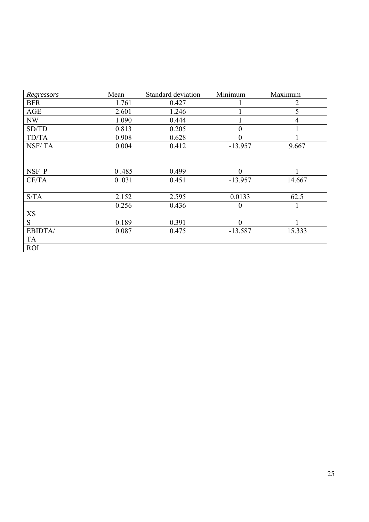| Regressors | Mean  | Standard deviation | Minimum   | Maximum        |
|------------|-------|--------------------|-----------|----------------|
| <b>BFR</b> | 1.761 | 0.427              |           | $\overline{2}$ |
| AGE        | 2.601 | 1.246              |           | 5              |
| <b>NW</b>  | 1.090 | 0.444              |           | 4              |
| SD/TD      | 0.813 | 0.205              | 0         |                |
| TD/TA      | 0.908 | 0.628              | 0         |                |
| NSF/TA     | 0.004 | 0.412              | $-13.957$ | 9.667          |
|            |       |                    |           |                |
| NSF P      | 0.485 | 0.499              | $\Omega$  |                |
| CF/TA      | 0.031 | 0.451              | $-13.957$ | 14.667         |
|            |       |                    |           |                |
| S/TA       | 2.152 | 2.595              | 0.0133    | 62.5           |
|            | 0.256 | 0.436              | $\Omega$  |                |
| XS         |       |                    |           |                |
| S          | 0.189 | 0.391              | $\theta$  |                |
| EBIDTA/    | 0.087 | 0.475              | $-13.587$ | 15.333         |
| TA         |       |                    |           |                |
| <b>ROI</b> |       |                    |           |                |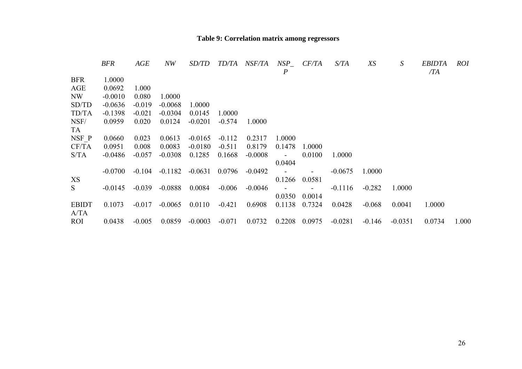# **Table 9: Correlation matrix among regressors**

|              | <b>BFR</b> | AGE      | NW        | <i>SD/TD</i> |          | <i>TD/TA NSF/TA</i> | NSP              | CF/TA  | S/TA      | XS       | S         | <i>EBIDTA</i> | <i>ROI</i> |
|--------------|------------|----------|-----------|--------------|----------|---------------------|------------------|--------|-----------|----------|-----------|---------------|------------|
|              |            |          |           |              |          |                     | $\boldsymbol{P}$ |        |           |          |           | $\sqrt{IA}$   |            |
| <b>BFR</b>   | 1.0000     |          |           |              |          |                     |                  |        |           |          |           |               |            |
| AGE          | 0.0692     | 1.000    |           |              |          |                     |                  |        |           |          |           |               |            |
| NW           | $-0.0010$  | 0.080    | 1.0000    |              |          |                     |                  |        |           |          |           |               |            |
| SD/TD        | $-0.0636$  | $-0.019$ | $-0.0068$ | 1.0000       |          |                     |                  |        |           |          |           |               |            |
| TD/TA        | $-0.1398$  | $-0.021$ | $-0.0304$ | 0.0145       | 1.0000   |                     |                  |        |           |          |           |               |            |
| NSF/         | 0.0959     | 0.020    | 0.0124    | $-0.0201$    | $-0.574$ | 1.0000              |                  |        |           |          |           |               |            |
| TA           |            |          |           |              |          |                     |                  |        |           |          |           |               |            |
| NSF P        | 0.0660     | 0.023    | 0.0613    | $-0.0165$    | $-0.112$ | 0.2317              | 1.0000           |        |           |          |           |               |            |
| CF/TA        | 0.0951     | 0.008    | 0.0083    | $-0.0180$    | $-0.511$ | 0.8179              | 0.1478           | 1.0000 |           |          |           |               |            |
| S/TA         | $-0.0486$  | $-0.057$ | $-0.0308$ | 0.1285       | 0.1668   | $-0.0008$           |                  | 0.0100 | 1.0000    |          |           |               |            |
|              |            |          |           |              |          |                     | 0.0404           |        |           |          |           |               |            |
|              | $-0.0700$  | $-0.104$ | $-0.1182$ | $-0.0631$    | 0.0796   | $-0.0492$           |                  |        | $-0.0675$ | 1.0000   |           |               |            |
| XS           |            |          |           |              |          |                     | 0.1266           | 0.0581 |           |          |           |               |            |
| S            | $-0.0145$  | $-0.039$ | $-0.0888$ | 0.0084       | $-0.006$ | $-0.0046$           |                  |        | $-0.1116$ | $-0.282$ | 1.0000    |               |            |
|              |            |          |           |              |          |                     | 0.0350           | 0.0014 |           |          |           |               |            |
| <b>EBIDT</b> | 0.1073     | $-0.017$ | $-0.0065$ | 0.0110       | $-0.421$ | 0.6908              | 0.1138           | 0.7324 | 0.0428    | $-0.068$ | 0.0041    | 1.0000        |            |
| A/TA         |            |          |           |              |          |                     |                  |        |           |          |           |               |            |
| ROI          | 0.0438     | $-0.005$ | 0.0859    | $-0.0003$    | $-0.071$ | 0.0732              | 0.2208           | 0.0975 | $-0.0281$ | $-0.146$ | $-0.0351$ | 0.0734        | 1.000      |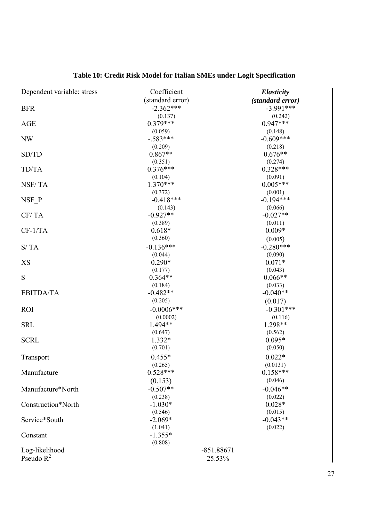| Dependent variable: stress | Coefficient      | <b>Elasticity</b> |
|----------------------------|------------------|-------------------|
|                            | (standard error) | (standard error)  |
| <b>BFR</b>                 | $-2.362***$      | $-3.991***$       |
|                            | (0.137)          | (0.242)           |
| <b>AGE</b>                 | $0.379***$       | $0.947***$        |
|                            | (0.059)          | (0.148)           |
| NW                         | $-.583***$       | $-0.609***$       |
|                            | (0.209)          | (0.218)           |
| SD/TD                      | $0.867**$        | $0.676**$         |
|                            | (0.351)          | (0.274)           |
| TD/TA                      | $0.376***$       | $0.328***$        |
|                            | (0.104)          | (0.091)           |
| NSF/TA                     | $1.370***$       | $0.005***$        |
|                            | (0.372)          | (0.001)           |
| NSF P                      | $-0.418***$      | $-0.194***$       |
|                            | (0.143)          | (0.066)           |
| CF/TA                      | $-0.927**$       | $-0.027**$        |
|                            | (0.389)          | (0.011)           |
| $CF-1/TA$                  | $0.618*$         | $0.009*$          |
|                            | (0.360)          | (0.005)           |
| S/TA                       | $-0.136***$      | $-0.280***$       |
|                            | (0.044)          | (0.090)           |
| XS                         | $0.290*$         | $0.071*$          |
|                            | (0.177)          | (0.043)           |
| S                          | $0.364**$        | $0.066**$         |
|                            | (0.184)          | (0.033)           |
| <b>EBITDA/TA</b>           | $-0.482**$       | $-0.040**$        |
|                            | (0.205)          | (0.017)           |
| <b>ROI</b>                 | $-0.0006$ ***    | $-0.301***$       |
|                            | (0.0002)         | (0.116)           |
| <b>SRL</b>                 | 1.494**          | 1.298**           |
|                            | (0.647)          | (0.562)           |
| <b>SCRL</b>                | 1.332*           | $0.095*$          |
|                            | (0.701)          | (0.050)           |
| Transport                  | $0.455*$         | $0.022*$          |
|                            | (0.265)          | (0.0131)          |
| Manufacture                | $0.528***$       | $0.158***$        |
|                            | (0.153)          | (0.046)           |
| Manufacture*North          | $-0.507**$       | $-0.046**$        |
|                            | (0.238)          | (0.022)           |
| Construction*North         | $-1.030*$        | $0.028*$          |
|                            | (0.546)          | (0.015)           |
| Service*South              | $-2.069*$        | $-0.043**$        |
|                            | (1.041)          | (0.022)           |
| Constant                   | $-1.355*$        |                   |
|                            | (0.808)          |                   |
| Log-likelihood             | $-851.88671$     |                   |
| Pseudo $R^2$               | 25.53%           |                   |

# **Table 10: Credit Risk Model for Italian SMEs under Logit Specification**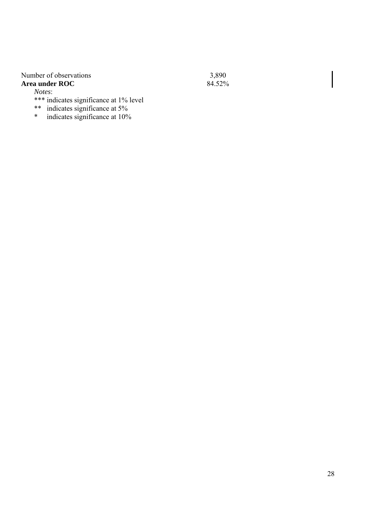# Number of observations 3,890<br> **Area under ROC** 84.52%

#### Area under ROC

*Notes*:

- \*\*\* indicates significance at 1% level
- \*\* indicates significance at 5%
- \* indicates significance at 10%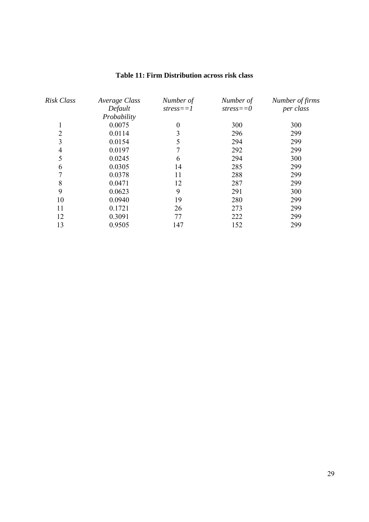| Risk Class     | Average Class | Number of   | Number of     | Number of firms |
|----------------|---------------|-------------|---------------|-----------------|
|                | Default       | $stress==1$ | $stress == 0$ | per class       |
|                | Probability   |             |               |                 |
|                | 0.0075        | 0           | 300           | 300             |
| $\overline{2}$ | 0.0114        | 3           | 296           | 299             |
| 3              | 0.0154        | 5           | 294           | 299             |
| 4              | 0.0197        |             | 292           | 299             |
| 5              | 0.0245        | 6           | 294           | 300             |
| 6              | 0.0305        | 14          | 285           | 299             |
|                | 0.0378        | 11          | 288           | 299             |
| 8              | 0.0471        | 12          | 287           | 299             |
| 9              | 0.0623        | 9           | 291           | 300             |
| 10             | 0.0940        | 19          | 280           | 299             |
| 11             | 0.1721        | 26          | 273           | 299             |
| 12             | 0.3091        | 77          | 222           | 299             |
| 13             | 0.9505        | 147         | 152           | 299             |

#### **Table 11: Firm Distribution across risk class**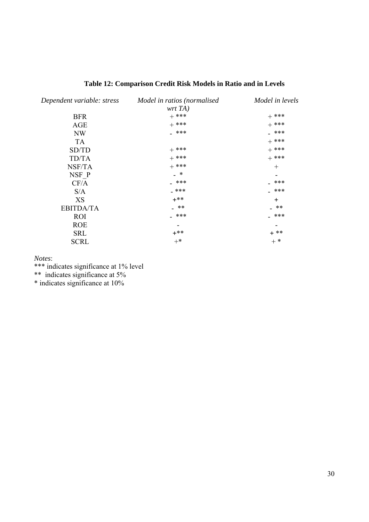| Dependent variable: stress | Model in ratios (normalised<br>wrt TA) | Model in levels |
|----------------------------|----------------------------------------|-----------------|
| <b>BFR</b>                 | $+$ ***                                | $+$ ***         |
| <b>AGE</b>                 | $+$ ***                                | $+$ ***         |
| NW                         | _ ***                                  | _ ***           |
| TA                         |                                        | $+$ ***         |
| SD/TD                      | $+$ ***                                | $+$ ***         |
| TD/TA                      | $+$ ***                                | $+$ ***         |
| NSF/TA                     | $+$ ***                                | $\pm$           |
| NSF P                      | _ *                                    |                 |
| CF/A                       | $-$ ***                                | ***             |
| S/A                        | _ ***                                  | ***             |
| XS                         | $+***$                                 | $\div$          |
| <b>EBITDA/TA</b>           | _ **                                   | **              |
| <b>ROI</b>                 | _ ***                                  | _ ***           |
| <b>ROE</b>                 |                                        |                 |
| <b>SRL</b>                 | $+***$                                 | $+ * *$         |
| <b>SCRL</b>                | $+^*$                                  | $+$ *           |

### **Table 12: Comparison Credit Risk Models in Ratio and in Levels**

*Notes*:

\*\*\* indicates significance at 1% level

\*\* indicates significance at 5%

\* indicates significance at 10%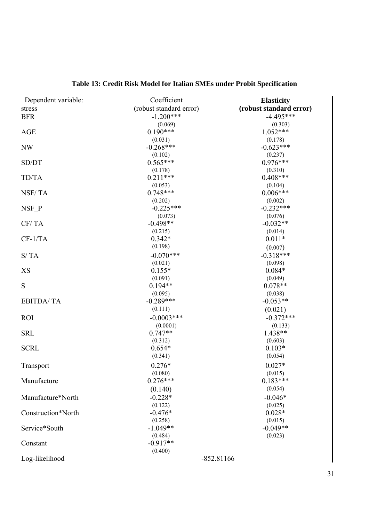| Dependent variable: | Coefficient             | <b>Elasticity</b>       |  |
|---------------------|-------------------------|-------------------------|--|
| stress              | (robust standard error) | (robust standard error) |  |
| <b>BFR</b>          | $-1.200***$             | $-4.495***$             |  |
|                     | (0.069)                 | (0.303)                 |  |
| <b>AGE</b>          | $0.190***$              | $1.052***$              |  |
|                     | (0.031)                 | (0.178)                 |  |
| NW                  | $-0.268***$             | $-0.623***$             |  |
|                     | (0.102)                 | (0.237)                 |  |
| SD/DT               | $0.565***$              | $0.976***$              |  |
|                     | (0.178)                 | (0.310)                 |  |
| TD/TA               | $0.211***$              | $0.408***$              |  |
|                     | (0.053)                 | (0.104)                 |  |
| NSF/TA              | $0.748***$              | $0.006***$              |  |
|                     | (0.202)                 | (0.002)                 |  |
| NSF P               | $-0.225***$             | $-0.232***$             |  |
|                     | (0.073)                 | (0.076)                 |  |
| CF/TA               | $-0.498**$              | $-0.032**$              |  |
|                     | (0.215)                 | (0.014)                 |  |
| $CF-1/TA$           | $0.342*$                | $0.011*$                |  |
|                     | (0.198)                 | (0.007)                 |  |
| S/TA                | $-0.070***$             | $-0.318***$             |  |
|                     | (0.021)                 | (0.098)                 |  |
| XS                  | $0.155*$                | $0.084*$                |  |
|                     | (0.091)                 | (0.049)                 |  |
| S                   | $0.194**$               | $0.078**$               |  |
|                     | (0.095)                 | (0.038)                 |  |
| <b>EBITDA/TA</b>    | $-0.289***$             | $-0.053**$              |  |
|                     | (0.111)                 | (0.021)                 |  |
| <b>ROI</b>          | $-0.0003$ ***           | $-0.372***$             |  |
|                     | (0.0001)                | (0.133)                 |  |
| <b>SRL</b>          | $0.747**$               | 1.438**                 |  |
|                     | (0.312)                 | (0.603)                 |  |
| <b>SCRL</b>         | $0.654*$                | $0.103*$                |  |
|                     | (0.341)                 | (0.054)                 |  |
| Transport           | $0.276*$                | $0.027*$                |  |
|                     | (0.080)                 | (0.015)                 |  |
| Manufacture         | $0.276***$              | $0.183***$              |  |
|                     | (0.140)                 | (0.054)                 |  |
| Manufacture*North   | $-0.228*$               | $-0.046*$               |  |
|                     | (0.122)                 | (0.025)                 |  |
| Construction*North  | $-0.476*$               | $0.028*$                |  |
|                     | (0.258)                 | (0.015)                 |  |
| Service*South       | $-1.049**$              | $-0.049**$              |  |
|                     | (0.484)                 | (0.023)                 |  |
| Constant            | $-0.917**$              |                         |  |
|                     | (0.400)                 |                         |  |
| Log-likelihood      | $-852.81166$            |                         |  |

# **Table 13: Credit Risk Model for Italian SMEs under Probit Specification**

31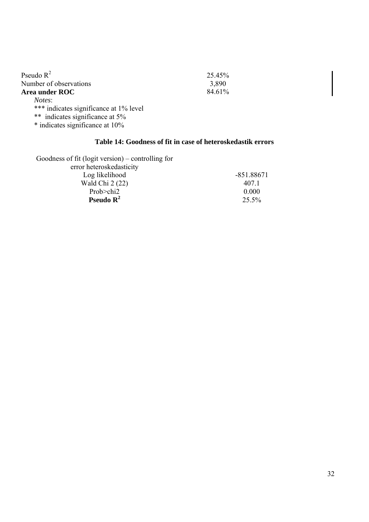| Pseudo $R^2$                           | 25.45% |
|----------------------------------------|--------|
| Number of observations                 | 3,890  |
| Area under ROC                         | 84.61% |
| Notes:                                 |        |
| *** indicates significance at 1% level |        |
| ** indicates significance at 5%        |        |
| * indicates significance at 10%        |        |

#### **Table 14: Goodness of fit in case of heteroskedastik errors**

Goodness of fit (logit version) – controlling for error heteroskedasticity Log likelihood -851.88671 Wald Chi 2 (22) 407.1 Prob>chi2 0.000 **Pseudo R<sup>2</sup>** 25.5%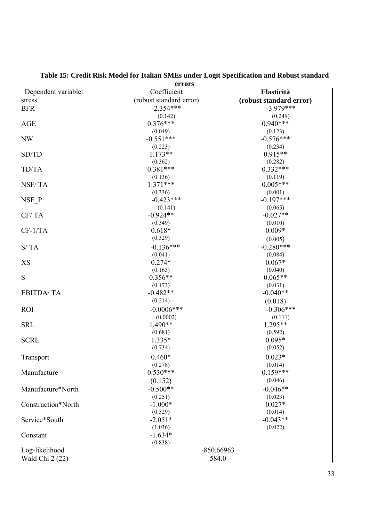|                     | errors                  |                         |  |  |
|---------------------|-------------------------|-------------------------|--|--|
| Dependent variable: | Coefficient             | Elasticità              |  |  |
| stress              | (robust standard error) | (robust standard error) |  |  |
| <b>BFR</b>          | $-2.354***$             | $-3.979***$             |  |  |
|                     | (0.142)                 | (0.249)                 |  |  |
| <b>AGE</b>          | $0.376***$              | $0.940***$              |  |  |
|                     | (0.049)                 | (0.123)                 |  |  |
| NW                  | $-0.551***$             | $-0.576***$             |  |  |
|                     | (0.223)                 | (0.234)                 |  |  |
| SD/TD               | $1.173**$               | $0.915**$               |  |  |
|                     | (0.362)                 | (0.282)                 |  |  |
| TD/TA               | $0.381***$              | $0.332***$              |  |  |
|                     | (0.136)                 | (0.119)                 |  |  |
| NSF/TA              | $1.371***$              | $0.005***$              |  |  |
|                     | (0.336)                 | (0.001)                 |  |  |
| NSF P               | $-0.423***$             | $-0.197***$             |  |  |
| CF/TA               | (0.141)<br>$-0.924**$   | (0.065)<br>$-0.027**$   |  |  |
|                     | (0.349)                 | (0.010)                 |  |  |
| $CF-1/TA$           | $0.618*$                | $0.009*$                |  |  |
|                     | (0.329)                 | (0.005)                 |  |  |
| S/TA                | $-0.136***$             | $-0.280***$             |  |  |
|                     | (0.041)                 | (0.084)                 |  |  |
| XS                  | $0.274*$                | $0.067*$                |  |  |
|                     | (0.165)                 | (0.040)                 |  |  |
| S                   | $0.356**$               | $0.065**$               |  |  |
|                     | (0.173)                 | (0.031)                 |  |  |
| <b>EBITDA/TA</b>    | $-0.482**$              | $-0.040**$              |  |  |
|                     | (0.214)                 | (0.018)                 |  |  |
| <b>ROI</b>          | $-0.0006$ ***           | $-0.306***$             |  |  |
|                     | (0.0002)                | (0.111)                 |  |  |
| <b>SRL</b>          | $1.490**$               | 1.295**                 |  |  |
|                     | (0.681)                 | (0.592)                 |  |  |
| <b>SCRL</b>         | 1.335*                  | $0.095*$                |  |  |
|                     | (0.734)                 | (0.052)                 |  |  |
| Transport           | $0.460*$                | $0.023*$                |  |  |
|                     | (0.278)                 | (0.014)                 |  |  |
| Manufacture         | $0.530***$              | $0.159***$              |  |  |
|                     | (0.152)                 | (0.046)                 |  |  |
| Manufacture*North   | $-0.500**$              | $-0.046**$              |  |  |
|                     | (0.251)                 | (0.023)                 |  |  |
| Construction*North  | $-1.000*$               | $0.027*$                |  |  |
|                     | (0.529)                 | (0.014)                 |  |  |
| Service*South       | $-2.051*$               | $-0.043**$              |  |  |
|                     | (1.036)                 | (0.022)                 |  |  |
| Constant            | $-1.634*$               |                         |  |  |
|                     | (0.838)                 |                         |  |  |
| Log-likelihood      | -850.66963              |                         |  |  |
| Wald Chi 2 (22)     | 584.0                   |                         |  |  |

# **Table 15: Credit Risk Model for Italian SMEs under Logit Specification and Robust standard**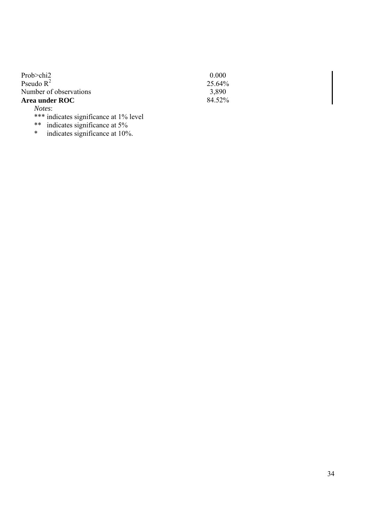| 25.64% |
|--------|
| 3.890  |
| 84.52% |
|        |
|        |

\*\*\* indicates significance at 1% level

\*\* indicates significance at 5%

\* indicates significance at 10%.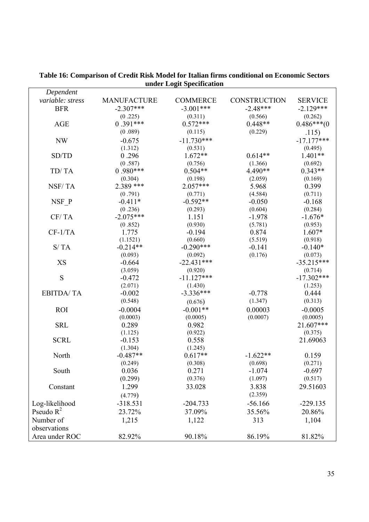| variable: stress<br><b>MANUFACTURE</b><br><b>COMMERCE</b><br><b>CONSTRUCTION</b><br><b>SERVICE</b><br>$-3.001***$<br>$-2.48***$<br>$-2.129***$<br><b>BFR</b><br>$-2.307***$<br>(0.225)<br>(0.311)<br>(0.262)<br>(0.566)<br>$0.391***$<br>$0.572***$<br>$0.448**$<br>$0.486***(0)$<br><b>AGE</b><br>(0.089)<br>(0.115)<br>(0.229)<br>.115)<br>$-11.730***$<br>$-17.177***$<br>$-0.675$<br><b>NW</b><br>(1.312)<br>(0.531)<br>(0.495)<br>0.296<br>$1.672**$<br>$0.614**$<br>$1.401**$<br>SD/TD<br>(0.587)<br>(0.756)<br>(1.366)<br>(0.692)<br>$0.980***$<br>$0.504**$<br>4.490**<br>$0.343**$<br>TD/TA<br>(0.304)<br>(0.198)<br>(2.059)<br>(0.169)<br>2.389 ***<br>$2.057***$<br>NSF/TA<br>5.968<br>0.399<br>(4.584)<br>(0.711)<br>(0.791)<br>(0.771)<br>$-0.592**$<br>NSF P<br>$-0.411*$<br>$-0.050$<br>$-0.168$<br>(0.236)<br>(0.293)<br>(0.604)<br>(0.284)<br>$-2.075***$<br>$-1.676*$<br>CF/TA<br>1.151<br>$-1.978$<br>(0.852)<br>(0.930)<br>(5.781)<br>(0.953)<br>$CF-1/TA$<br>$-0.194$<br>$1.607*$<br>1.775<br>0.874<br>(1.1521)<br>(0.660)<br>(5.519)<br>(0.918)<br>S/TA<br>$-0.290***$<br>$-0.214**$<br>$-0.141$<br>$-0.140*$<br>(0.093)<br>(0.092)<br>(0.176)<br>(0.073)<br>$-22.431***$<br>$-35.215***$<br>XS<br>$-0.664$<br>(3.059)<br>(0.920)<br>(0.714)<br>S<br>$-17.302***$<br>$-0.472$<br>$-11.127***$<br>(2.071)<br>(1.430)<br>(1.253)<br>$-3.336***$<br>$-0.002$<br>0.444<br><b>EBITDA/TA</b><br>$-0.778$<br>(0.548)<br>(1.347)<br>(0.313)<br>(0.676)<br>$-0.0004$<br>$-0.001**$<br>0.00003<br><b>ROI</b><br>$-0.0005$<br>(0.0007)<br>(0.0003)<br>(0.0005)<br>(0.0005)<br>21.607***<br><b>SRL</b><br>0.289<br>0.982<br>(1.125)<br>(0.922)<br>(0.375)<br><b>SCRL</b><br>$-0.153$<br>0.558<br>21.69063<br>(1.304)<br>(1.245)<br>$-0.487**$<br>$0.617**$<br>$-1.622**$<br>North<br>0.159<br>(0.271)<br>(0.249)<br>(0.308)<br>(0.698)<br>0.271<br>0.036<br>$-1.074$<br>$-0.697$<br>South<br>(0.517)<br>(0.299)<br>(0.376)<br>(1.097)<br>1.299<br>3.838<br>29.51603<br>Constant<br>33.028<br>(2.359)<br>(4.779)<br>Log-likelihood<br>$-318.531$<br>$-204.733$<br>$-56.166$<br>$-229.135$<br>Pseudo $R^2$<br>23.72%<br>37.09%<br>35.56%<br>20.86%<br>Number of<br>313<br>1,104<br>1,215<br>1,122<br>observations<br>Area under ROC<br>82.92%<br>90.18%<br>86.19%<br>81.82% | Dependent |  |  |
|-------------------------------------------------------------------------------------------------------------------------------------------------------------------------------------------------------------------------------------------------------------------------------------------------------------------------------------------------------------------------------------------------------------------------------------------------------------------------------------------------------------------------------------------------------------------------------------------------------------------------------------------------------------------------------------------------------------------------------------------------------------------------------------------------------------------------------------------------------------------------------------------------------------------------------------------------------------------------------------------------------------------------------------------------------------------------------------------------------------------------------------------------------------------------------------------------------------------------------------------------------------------------------------------------------------------------------------------------------------------------------------------------------------------------------------------------------------------------------------------------------------------------------------------------------------------------------------------------------------------------------------------------------------------------------------------------------------------------------------------------------------------------------------------------------------------------------------------------------------------------------------------------------------------------------------------------------------------------------------------------------------------------------------------------------------------------------------------------------------------------------------------------------------------------------------------------------------------------------------------------------------------------------------|-----------|--|--|
|                                                                                                                                                                                                                                                                                                                                                                                                                                                                                                                                                                                                                                                                                                                                                                                                                                                                                                                                                                                                                                                                                                                                                                                                                                                                                                                                                                                                                                                                                                                                                                                                                                                                                                                                                                                                                                                                                                                                                                                                                                                                                                                                                                                                                                                                                     |           |  |  |
|                                                                                                                                                                                                                                                                                                                                                                                                                                                                                                                                                                                                                                                                                                                                                                                                                                                                                                                                                                                                                                                                                                                                                                                                                                                                                                                                                                                                                                                                                                                                                                                                                                                                                                                                                                                                                                                                                                                                                                                                                                                                                                                                                                                                                                                                                     |           |  |  |
|                                                                                                                                                                                                                                                                                                                                                                                                                                                                                                                                                                                                                                                                                                                                                                                                                                                                                                                                                                                                                                                                                                                                                                                                                                                                                                                                                                                                                                                                                                                                                                                                                                                                                                                                                                                                                                                                                                                                                                                                                                                                                                                                                                                                                                                                                     |           |  |  |
|                                                                                                                                                                                                                                                                                                                                                                                                                                                                                                                                                                                                                                                                                                                                                                                                                                                                                                                                                                                                                                                                                                                                                                                                                                                                                                                                                                                                                                                                                                                                                                                                                                                                                                                                                                                                                                                                                                                                                                                                                                                                                                                                                                                                                                                                                     |           |  |  |
|                                                                                                                                                                                                                                                                                                                                                                                                                                                                                                                                                                                                                                                                                                                                                                                                                                                                                                                                                                                                                                                                                                                                                                                                                                                                                                                                                                                                                                                                                                                                                                                                                                                                                                                                                                                                                                                                                                                                                                                                                                                                                                                                                                                                                                                                                     |           |  |  |
|                                                                                                                                                                                                                                                                                                                                                                                                                                                                                                                                                                                                                                                                                                                                                                                                                                                                                                                                                                                                                                                                                                                                                                                                                                                                                                                                                                                                                                                                                                                                                                                                                                                                                                                                                                                                                                                                                                                                                                                                                                                                                                                                                                                                                                                                                     |           |  |  |
|                                                                                                                                                                                                                                                                                                                                                                                                                                                                                                                                                                                                                                                                                                                                                                                                                                                                                                                                                                                                                                                                                                                                                                                                                                                                                                                                                                                                                                                                                                                                                                                                                                                                                                                                                                                                                                                                                                                                                                                                                                                                                                                                                                                                                                                                                     |           |  |  |
|                                                                                                                                                                                                                                                                                                                                                                                                                                                                                                                                                                                                                                                                                                                                                                                                                                                                                                                                                                                                                                                                                                                                                                                                                                                                                                                                                                                                                                                                                                                                                                                                                                                                                                                                                                                                                                                                                                                                                                                                                                                                                                                                                                                                                                                                                     |           |  |  |
|                                                                                                                                                                                                                                                                                                                                                                                                                                                                                                                                                                                                                                                                                                                                                                                                                                                                                                                                                                                                                                                                                                                                                                                                                                                                                                                                                                                                                                                                                                                                                                                                                                                                                                                                                                                                                                                                                                                                                                                                                                                                                                                                                                                                                                                                                     |           |  |  |
|                                                                                                                                                                                                                                                                                                                                                                                                                                                                                                                                                                                                                                                                                                                                                                                                                                                                                                                                                                                                                                                                                                                                                                                                                                                                                                                                                                                                                                                                                                                                                                                                                                                                                                                                                                                                                                                                                                                                                                                                                                                                                                                                                                                                                                                                                     |           |  |  |
|                                                                                                                                                                                                                                                                                                                                                                                                                                                                                                                                                                                                                                                                                                                                                                                                                                                                                                                                                                                                                                                                                                                                                                                                                                                                                                                                                                                                                                                                                                                                                                                                                                                                                                                                                                                                                                                                                                                                                                                                                                                                                                                                                                                                                                                                                     |           |  |  |
|                                                                                                                                                                                                                                                                                                                                                                                                                                                                                                                                                                                                                                                                                                                                                                                                                                                                                                                                                                                                                                                                                                                                                                                                                                                                                                                                                                                                                                                                                                                                                                                                                                                                                                                                                                                                                                                                                                                                                                                                                                                                                                                                                                                                                                                                                     |           |  |  |
|                                                                                                                                                                                                                                                                                                                                                                                                                                                                                                                                                                                                                                                                                                                                                                                                                                                                                                                                                                                                                                                                                                                                                                                                                                                                                                                                                                                                                                                                                                                                                                                                                                                                                                                                                                                                                                                                                                                                                                                                                                                                                                                                                                                                                                                                                     |           |  |  |
|                                                                                                                                                                                                                                                                                                                                                                                                                                                                                                                                                                                                                                                                                                                                                                                                                                                                                                                                                                                                                                                                                                                                                                                                                                                                                                                                                                                                                                                                                                                                                                                                                                                                                                                                                                                                                                                                                                                                                                                                                                                                                                                                                                                                                                                                                     |           |  |  |
|                                                                                                                                                                                                                                                                                                                                                                                                                                                                                                                                                                                                                                                                                                                                                                                                                                                                                                                                                                                                                                                                                                                                                                                                                                                                                                                                                                                                                                                                                                                                                                                                                                                                                                                                                                                                                                                                                                                                                                                                                                                                                                                                                                                                                                                                                     |           |  |  |
|                                                                                                                                                                                                                                                                                                                                                                                                                                                                                                                                                                                                                                                                                                                                                                                                                                                                                                                                                                                                                                                                                                                                                                                                                                                                                                                                                                                                                                                                                                                                                                                                                                                                                                                                                                                                                                                                                                                                                                                                                                                                                                                                                                                                                                                                                     |           |  |  |
|                                                                                                                                                                                                                                                                                                                                                                                                                                                                                                                                                                                                                                                                                                                                                                                                                                                                                                                                                                                                                                                                                                                                                                                                                                                                                                                                                                                                                                                                                                                                                                                                                                                                                                                                                                                                                                                                                                                                                                                                                                                                                                                                                                                                                                                                                     |           |  |  |
|                                                                                                                                                                                                                                                                                                                                                                                                                                                                                                                                                                                                                                                                                                                                                                                                                                                                                                                                                                                                                                                                                                                                                                                                                                                                                                                                                                                                                                                                                                                                                                                                                                                                                                                                                                                                                                                                                                                                                                                                                                                                                                                                                                                                                                                                                     |           |  |  |
|                                                                                                                                                                                                                                                                                                                                                                                                                                                                                                                                                                                                                                                                                                                                                                                                                                                                                                                                                                                                                                                                                                                                                                                                                                                                                                                                                                                                                                                                                                                                                                                                                                                                                                                                                                                                                                                                                                                                                                                                                                                                                                                                                                                                                                                                                     |           |  |  |
|                                                                                                                                                                                                                                                                                                                                                                                                                                                                                                                                                                                                                                                                                                                                                                                                                                                                                                                                                                                                                                                                                                                                                                                                                                                                                                                                                                                                                                                                                                                                                                                                                                                                                                                                                                                                                                                                                                                                                                                                                                                                                                                                                                                                                                                                                     |           |  |  |
|                                                                                                                                                                                                                                                                                                                                                                                                                                                                                                                                                                                                                                                                                                                                                                                                                                                                                                                                                                                                                                                                                                                                                                                                                                                                                                                                                                                                                                                                                                                                                                                                                                                                                                                                                                                                                                                                                                                                                                                                                                                                                                                                                                                                                                                                                     |           |  |  |
|                                                                                                                                                                                                                                                                                                                                                                                                                                                                                                                                                                                                                                                                                                                                                                                                                                                                                                                                                                                                                                                                                                                                                                                                                                                                                                                                                                                                                                                                                                                                                                                                                                                                                                                                                                                                                                                                                                                                                                                                                                                                                                                                                                                                                                                                                     |           |  |  |
|                                                                                                                                                                                                                                                                                                                                                                                                                                                                                                                                                                                                                                                                                                                                                                                                                                                                                                                                                                                                                                                                                                                                                                                                                                                                                                                                                                                                                                                                                                                                                                                                                                                                                                                                                                                                                                                                                                                                                                                                                                                                                                                                                                                                                                                                                     |           |  |  |
|                                                                                                                                                                                                                                                                                                                                                                                                                                                                                                                                                                                                                                                                                                                                                                                                                                                                                                                                                                                                                                                                                                                                                                                                                                                                                                                                                                                                                                                                                                                                                                                                                                                                                                                                                                                                                                                                                                                                                                                                                                                                                                                                                                                                                                                                                     |           |  |  |
|                                                                                                                                                                                                                                                                                                                                                                                                                                                                                                                                                                                                                                                                                                                                                                                                                                                                                                                                                                                                                                                                                                                                                                                                                                                                                                                                                                                                                                                                                                                                                                                                                                                                                                                                                                                                                                                                                                                                                                                                                                                                                                                                                                                                                                                                                     |           |  |  |
|                                                                                                                                                                                                                                                                                                                                                                                                                                                                                                                                                                                                                                                                                                                                                                                                                                                                                                                                                                                                                                                                                                                                                                                                                                                                                                                                                                                                                                                                                                                                                                                                                                                                                                                                                                                                                                                                                                                                                                                                                                                                                                                                                                                                                                                                                     |           |  |  |
|                                                                                                                                                                                                                                                                                                                                                                                                                                                                                                                                                                                                                                                                                                                                                                                                                                                                                                                                                                                                                                                                                                                                                                                                                                                                                                                                                                                                                                                                                                                                                                                                                                                                                                                                                                                                                                                                                                                                                                                                                                                                                                                                                                                                                                                                                     |           |  |  |
|                                                                                                                                                                                                                                                                                                                                                                                                                                                                                                                                                                                                                                                                                                                                                                                                                                                                                                                                                                                                                                                                                                                                                                                                                                                                                                                                                                                                                                                                                                                                                                                                                                                                                                                                                                                                                                                                                                                                                                                                                                                                                                                                                                                                                                                                                     |           |  |  |
|                                                                                                                                                                                                                                                                                                                                                                                                                                                                                                                                                                                                                                                                                                                                                                                                                                                                                                                                                                                                                                                                                                                                                                                                                                                                                                                                                                                                                                                                                                                                                                                                                                                                                                                                                                                                                                                                                                                                                                                                                                                                                                                                                                                                                                                                                     |           |  |  |
|                                                                                                                                                                                                                                                                                                                                                                                                                                                                                                                                                                                                                                                                                                                                                                                                                                                                                                                                                                                                                                                                                                                                                                                                                                                                                                                                                                                                                                                                                                                                                                                                                                                                                                                                                                                                                                                                                                                                                                                                                                                                                                                                                                                                                                                                                     |           |  |  |
|                                                                                                                                                                                                                                                                                                                                                                                                                                                                                                                                                                                                                                                                                                                                                                                                                                                                                                                                                                                                                                                                                                                                                                                                                                                                                                                                                                                                                                                                                                                                                                                                                                                                                                                                                                                                                                                                                                                                                                                                                                                                                                                                                                                                                                                                                     |           |  |  |
|                                                                                                                                                                                                                                                                                                                                                                                                                                                                                                                                                                                                                                                                                                                                                                                                                                                                                                                                                                                                                                                                                                                                                                                                                                                                                                                                                                                                                                                                                                                                                                                                                                                                                                                                                                                                                                                                                                                                                                                                                                                                                                                                                                                                                                                                                     |           |  |  |
|                                                                                                                                                                                                                                                                                                                                                                                                                                                                                                                                                                                                                                                                                                                                                                                                                                                                                                                                                                                                                                                                                                                                                                                                                                                                                                                                                                                                                                                                                                                                                                                                                                                                                                                                                                                                                                                                                                                                                                                                                                                                                                                                                                                                                                                                                     |           |  |  |
|                                                                                                                                                                                                                                                                                                                                                                                                                                                                                                                                                                                                                                                                                                                                                                                                                                                                                                                                                                                                                                                                                                                                                                                                                                                                                                                                                                                                                                                                                                                                                                                                                                                                                                                                                                                                                                                                                                                                                                                                                                                                                                                                                                                                                                                                                     |           |  |  |
|                                                                                                                                                                                                                                                                                                                                                                                                                                                                                                                                                                                                                                                                                                                                                                                                                                                                                                                                                                                                                                                                                                                                                                                                                                                                                                                                                                                                                                                                                                                                                                                                                                                                                                                                                                                                                                                                                                                                                                                                                                                                                                                                                                                                                                                                                     |           |  |  |
|                                                                                                                                                                                                                                                                                                                                                                                                                                                                                                                                                                                                                                                                                                                                                                                                                                                                                                                                                                                                                                                                                                                                                                                                                                                                                                                                                                                                                                                                                                                                                                                                                                                                                                                                                                                                                                                                                                                                                                                                                                                                                                                                                                                                                                                                                     |           |  |  |
|                                                                                                                                                                                                                                                                                                                                                                                                                                                                                                                                                                                                                                                                                                                                                                                                                                                                                                                                                                                                                                                                                                                                                                                                                                                                                                                                                                                                                                                                                                                                                                                                                                                                                                                                                                                                                                                                                                                                                                                                                                                                                                                                                                                                                                                                                     |           |  |  |
|                                                                                                                                                                                                                                                                                                                                                                                                                                                                                                                                                                                                                                                                                                                                                                                                                                                                                                                                                                                                                                                                                                                                                                                                                                                                                                                                                                                                                                                                                                                                                                                                                                                                                                                                                                                                                                                                                                                                                                                                                                                                                                                                                                                                                                                                                     |           |  |  |
|                                                                                                                                                                                                                                                                                                                                                                                                                                                                                                                                                                                                                                                                                                                                                                                                                                                                                                                                                                                                                                                                                                                                                                                                                                                                                                                                                                                                                                                                                                                                                                                                                                                                                                                                                                                                                                                                                                                                                                                                                                                                                                                                                                                                                                                                                     |           |  |  |
|                                                                                                                                                                                                                                                                                                                                                                                                                                                                                                                                                                                                                                                                                                                                                                                                                                                                                                                                                                                                                                                                                                                                                                                                                                                                                                                                                                                                                                                                                                                                                                                                                                                                                                                                                                                                                                                                                                                                                                                                                                                                                                                                                                                                                                                                                     |           |  |  |
|                                                                                                                                                                                                                                                                                                                                                                                                                                                                                                                                                                                                                                                                                                                                                                                                                                                                                                                                                                                                                                                                                                                                                                                                                                                                                                                                                                                                                                                                                                                                                                                                                                                                                                                                                                                                                                                                                                                                                                                                                                                                                                                                                                                                                                                                                     |           |  |  |
|                                                                                                                                                                                                                                                                                                                                                                                                                                                                                                                                                                                                                                                                                                                                                                                                                                                                                                                                                                                                                                                                                                                                                                                                                                                                                                                                                                                                                                                                                                                                                                                                                                                                                                                                                                                                                                                                                                                                                                                                                                                                                                                                                                                                                                                                                     |           |  |  |
|                                                                                                                                                                                                                                                                                                                                                                                                                                                                                                                                                                                                                                                                                                                                                                                                                                                                                                                                                                                                                                                                                                                                                                                                                                                                                                                                                                                                                                                                                                                                                                                                                                                                                                                                                                                                                                                                                                                                                                                                                                                                                                                                                                                                                                                                                     |           |  |  |
|                                                                                                                                                                                                                                                                                                                                                                                                                                                                                                                                                                                                                                                                                                                                                                                                                                                                                                                                                                                                                                                                                                                                                                                                                                                                                                                                                                                                                                                                                                                                                                                                                                                                                                                                                                                                                                                                                                                                                                                                                                                                                                                                                                                                                                                                                     |           |  |  |
|                                                                                                                                                                                                                                                                                                                                                                                                                                                                                                                                                                                                                                                                                                                                                                                                                                                                                                                                                                                                                                                                                                                                                                                                                                                                                                                                                                                                                                                                                                                                                                                                                                                                                                                                                                                                                                                                                                                                                                                                                                                                                                                                                                                                                                                                                     |           |  |  |

**Table 16: Comparison of Credit Risk Model for Italian firms conditional on Economic Sectors under Logit Specification**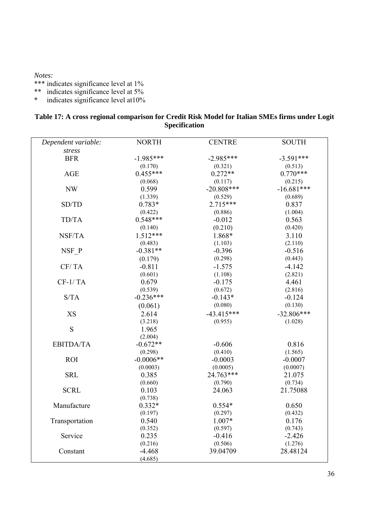*Notes:*

\*\*\* indicates significance level at 1%

- \*\* indicates significance level at 5%
- \* indicates significance level at10%

| Table 17: A cross regional comparison for Credit Risk Model for Italian SMEs firms under Logit |                      |  |  |
|------------------------------------------------------------------------------------------------|----------------------|--|--|
|                                                                                                | <b>Specification</b> |  |  |

| Dependent variable: | <b>NORTH</b> | <b>CENTRE</b> | <b>SOUTH</b> |
|---------------------|--------------|---------------|--------------|
| stress              |              |               |              |
| <b>BFR</b>          | $-1.985***$  | $-2.985***$   | $-3.591***$  |
|                     | (0.170)      | (0.321)       | (0.513)      |
| <b>AGE</b>          | $0.455***$   | $0.272**$     | $0.770***$   |
|                     | (0.068)      | (0.117)       | (0.215)      |
| <b>NW</b>           | 0.599        | $-20.808***$  | $-16.681***$ |
|                     | (1.339)      | (0.529)       | (0.689)      |
| SD/TD               | $0.783*$     | $2.715***$    | 0.837        |
|                     | (0.422)      | (0.886)       | (1.004)      |
| TD/TA               | $0.548***$   | $-0.012$      | 0.563        |
|                     | (0.140)      | (0.210)       | (0.420)      |
| NSF/TA              | $1.512***$   | 1.868*        | 3.110        |
|                     | (0.483)      | (1.103)       | (2.110)      |
| NSF P               | $-0.381**$   | $-0.396$      | $-0.516$     |
|                     | (0.179)      | (0.298)       | (0.443)      |
| CF/TA               | $-0.811$     | $-1.575$      | $-4.142$     |
|                     | (0.601)      | (1.108)       | (2.821)      |
| $CF-1/TA$           | 0.679        | $-0.175$      | 4.461        |
|                     | (0.539)      | (0.672)       | (2.816)      |
| S/TA                | $-0.236***$  | $-0.143*$     | $-0.124$     |
|                     | (0.061)      | (0.080)       | (0.130)      |
| XS                  | 2.614        | $-43.415***$  | $-32.806***$ |
|                     | (3.218)      | (0.955)       | (1.028)      |
| S                   | 1.965        |               |              |
|                     | (2.004)      |               |              |
| <b>EBITDA/TA</b>    | $-0.672**$   | $-0.606$      | 0.816        |
|                     | (0.298)      | (0.410)       | (1.565)      |
| <b>ROI</b>          | $-0.0006**$  | $-0.0003$     | $-0.0007$    |
|                     | (0.0003)     | (0.0005)      | (0.0007)     |
| <b>SRL</b>          | 0.385        | 24.763***     | 21.075       |
|                     | (0.660)      | (0.790)       | (0.734)      |
| <b>SCRL</b>         | 0.103        | 24.063        | 21.75088     |
|                     | (0.738)      |               |              |
| Manufacture         | $0.332*$     | $0.554*$      | 0.650        |
|                     | (0.197)      | (0.297)       | (0.432)      |
| Transportation      | 0.540        | $1.007*$      | 0.176        |
|                     | (0.352)      | (0.597)       | (0.743)      |
| Service             | 0.235        | $-0.416$      | $-2.426$     |
|                     | (0.216)      | (0.506)       | (1.276)      |
| Constant            | $-4.468$     | 39.04709      | 28.48124     |
|                     | (4.685)      |               |              |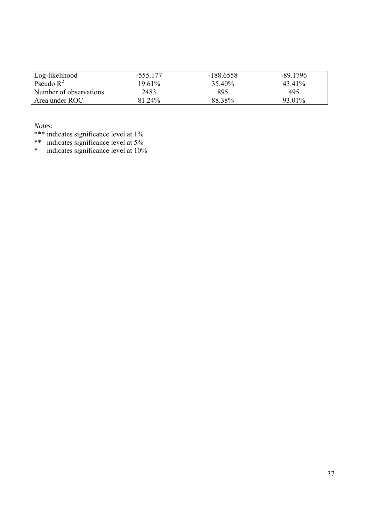| Log-likelihood         | -555.177 | -188 6558 | $-89.1796$ |
|------------------------|----------|-----------|------------|
| Pseudo $R^2$           | 1961%    | 35.40%    | 43.41%     |
| Number of observations | 2483     | 895       | 495        |
| Area under ROC         | 81.24%   | 88.38%    | 93.01%     |

*Notes*:

\*\*\* indicates significance level at 1%

\*\* indicates significance level at 5%

\* indicates significance level at 10%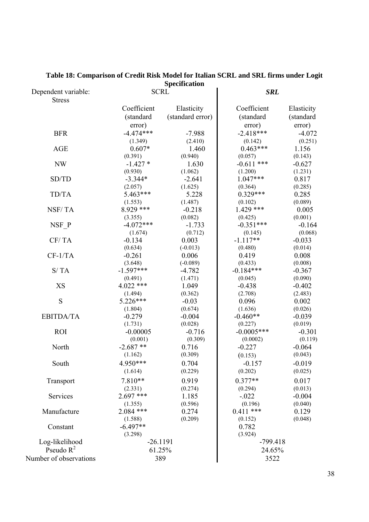| <b>Specification</b>                 |             |                  |              |            |
|--------------------------------------|-------------|------------------|--------------|------------|
| Dependent variable:<br><b>Stress</b> |             | <b>SCRL</b>      | <b>SRL</b>   |            |
|                                      | Coefficient | Elasticity       | Coefficient  | Elasticity |
|                                      | (standard   | (standard error) | (standard    | (standard  |
|                                      | error)      |                  | error)       | error)     |
| <b>BFR</b>                           | $-4.474***$ | $-7.988$         | $-2.418***$  | $-4.072$   |
|                                      | (1.349)     | (2.410)          | (0.142)      | (0.251)    |
| <b>AGE</b>                           | $0.607*$    | 1.460            | $0.463***$   | 1.156      |
|                                      | (0.391)     | (0.940)          | (0.057)      | (0.143)    |
| NW                                   | $-1.427*$   | 1.630            | $-0.611$ *** | $-0.627$   |
|                                      | (0.930)     | (1.062)          | (1.200)      | (1.231)    |
| SD/TD                                | $-3.344*$   | $-2.641$         | $1.047***$   | 0.817      |
|                                      | (2.057)     | (1.625)          | (0.364)      | (0.285)    |
| TD/TA                                | 5.463***    | 5.228            | $0.329***$   | 0.285      |
|                                      | (1.553)     | (1.487)          | (0.102)      | (0.089)    |
| NSF/TA                               | 8.929 ***   | $-0.218$         | $1.429$ ***  | 0.005      |
|                                      | (3.355)     | (0.082)          | (0.425)      | (0.001)    |
| $NSF_P$                              | $-4.072***$ | $-1.733$         | $-0.351***$  | $-0.164$   |
|                                      | (1.674)     | (0.712)          | (0.145)      | (0.068)    |
| CF/TA                                | $-0.134$    | 0.003            | $-1.117**$   | $-0.033$   |
|                                      | (0.634)     | $(-0.013)$       | (0.480)      | (0.014)    |
| $CF-1/TA$                            | $-0.261$    | 0.006            | 0.419        | 0.008      |
|                                      | (3.648)     | $(-0.089)$       | (0.433)      | (0.008)    |
| S/TA                                 | $-1.597***$ | $-4.782$         | $-0.184***$  | $-0.367$   |
|                                      | (0.491)     | (1.471)          | (0.045)      | (0.090)    |
| <b>XS</b>                            | $4.022$ *** | 1.049            | $-0.438$     | $-0.402$   |
|                                      | (1.494)     | (0.362)          | (2.708)      | (2.483)    |
| S                                    | 5.226***    | $-0.03$          | 0.096        | 0.002      |
|                                      | (1.804)     | (0.674)          | (1.636)      | (0.026)    |
| <b>EBITDA/TA</b>                     | $-0.279$    | $-0.004$         | $-0.460**$   | $-0.039$   |
|                                      | (1.731)     | (0.028)          | (0.227)      | (0.019)    |
| <b>ROI</b>                           | $-0.00005$  | $-0.716$         | $-0.0005***$ | $-0.301$   |
|                                      | (0.001)     | (0.309)          | (0.0002)     | (0.119)    |
| North                                | $-2.687**$  | 0.716            | $-0.227$     | $-0.064$   |
|                                      | (1.162)     | (0.309)          | (0.153)      | (0.043)    |
| South                                | 4.950***    | 0.704            | $-0.157$     | $-0.019$   |
|                                      | (1.614)     | (0.229)          | (0.202)      | (0.025)    |
| Transport                            | $7.810**$   | 0.919            | $0.377**$    | 0.017      |
|                                      | (2.331)     | (0.274)          | (0.294)      | (0.013)    |
| Services                             | $2.697$ *** | 1.185            | $-.022$      | $-0.004$   |
|                                      | (1.355)     | (0.596)          | (0.196)      | (0.040)    |
| Manufacture                          | $2.084$ *** | 0.274            | $0.411$ ***  | 0.129      |
|                                      | (1.588)     | (0.209)          | (0.152)      | (0.048)    |
| Constant                             | $-6.497**$  |                  | 0.782        |            |
|                                      | (3.298)     |                  | (3.924)      |            |
| Log-likelihood                       | $-26.1191$  |                  | $-799.418$   |            |
| Pseudo $R^2$                         | 61.25%      |                  | 24.65%       |            |
| Number of observations               | 389         |                  | 3522         |            |
|                                      |             |                  |              |            |

#### **Table 18: Comparison of Credit Risk Model for Italian SCRL and SRL firms under Logit Specification**